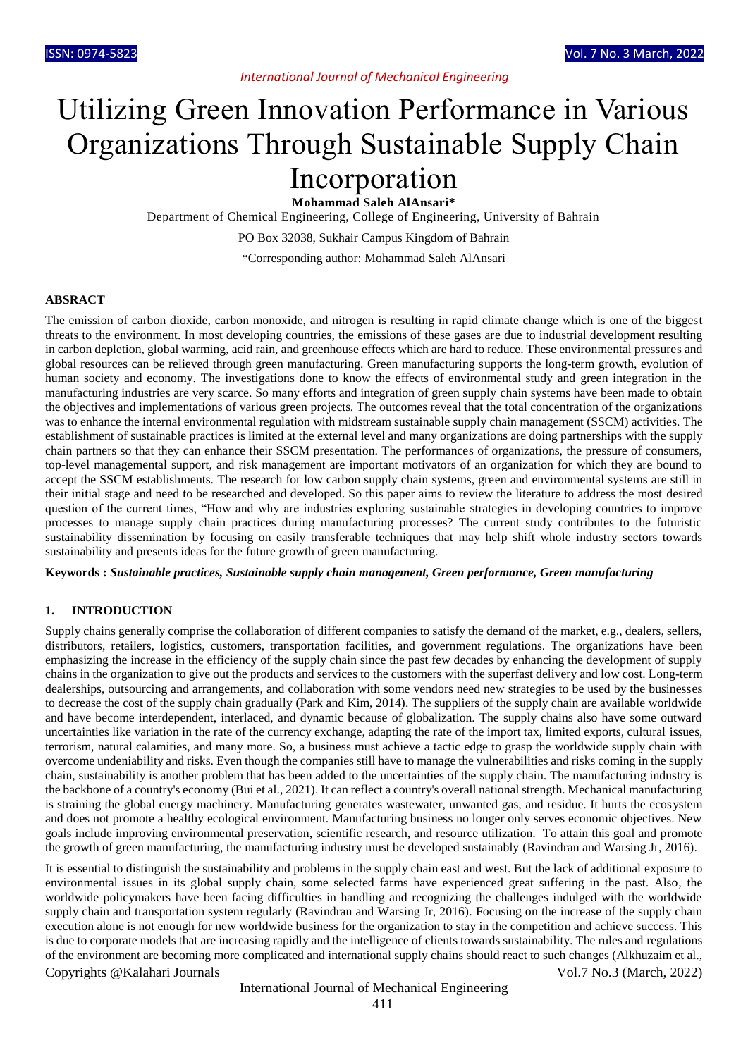# Utilizing Green Innovation Performance in Various Organizations Through Sustainable Supply Chain Incorporation

**Mohammad Saleh AlAnsari\***

Department of Chemical Engineering, College of Engineering, University of Bahrain

PO Box 32038, Sukhair Campus Kingdom of Bahrain

\*Corresponding author: Mohammad Saleh AlAnsari

#### **ABSRACT**

The emission of carbon dioxide, carbon monoxide, and nitrogen is resulting in rapid climate change which is one of the biggest threats to the environment. In most developing countries, the emissions of these gases are due to industrial development resulting in carbon depletion, global warming, acid rain, and greenhouse effects which are hard to reduce. These environmental pressures and global resources can be relieved through green manufacturing. Green manufacturing supports the long-term growth, evolution of human society and economy. The investigations done to know the effects of environmental study and green integration in the manufacturing industries are very scarce. So many efforts and integration of green supply chain systems have been made to obtain the objectives and implementations of various green projects. The outcomes reveal that the total concentration of the organizations was to enhance the internal environmental regulation with midstream sustainable supply chain management (SSCM) activities. The establishment of sustainable practices is limited at the external level and many organizations are doing partnerships with the supply chain partners so that they can enhance their SSCM presentation. The performances of organizations, the pressure of consumers, top-level managemental support, and risk management are important motivators of an organization for which they are bound to accept the SSCM establishments. The research for low carbon supply chain systems, green and environmental systems are still in their initial stage and need to be researched and developed. So this paper aims to review the literature to address the most desired question of the current times, "How and why are industries exploring sustainable strategies in developing countries to improve processes to manage supply chain practices during manufacturing processes? The current study contributes to the futuristic sustainability dissemination by focusing on easily transferable techniques that may help shift whole industry sectors towards sustainability and presents ideas for the future growth of green manufacturing.

**Keywords :** *Sustainable practices, Sustainable supply chain management, Green performance, Green manufacturing*

#### **1. INTRODUCTION**

Supply chains generally comprise the collaboration of different companies to satisfy the demand of the market, e.g., dealers, sellers, distributors, retailers, logistics, customers, transportation facilities, and government regulations. The organizations have been emphasizing the increase in the efficiency of the supply chain since the past few decades by enhancing the development of supply chains in the organization to give out the products and services to the customers with the superfast delivery and low cost. Long-term dealerships, outsourcing and arrangements, and collaboration with some vendors need new strategies to be used by the businesses to decrease the cost of the supply chain gradually (Park and Kim, 2014). The suppliers of the supply chain are available worldwide and have become interdependent, interlaced, and dynamic because of globalization. The supply chains also have some outward uncertainties like variation in the rate of the currency exchange, adapting the rate of the import tax, limited exports, cultural issues, terrorism, natural calamities, and many more. So, a business must achieve a tactic edge to grasp the worldwide supply chain with overcome undeniability and risks. Even though the companies still have to manage the vulnerabilities and risks coming in the supply chain, sustainability is another problem that has been added to the uncertainties of the supply chain. The manufacturing industry is the backbone of a country's economy (Bui et al., 2021). It can reflect a country's overall national strength. Mechanical manufacturing is straining the global energy machinery. Manufacturing generates wastewater, unwanted gas, and residue. It hurts the ecosystem and does not promote a healthy ecological environment. Manufacturing business no longer only serves economic objectives. New goals include improving environmental preservation, scientific research, and resource utilization. To attain this goal and promote the growth of green manufacturing, the manufacturing industry must be developed sustainably (Ravindran and Warsing Jr, 2016).

Copyrights @Kalahari Journals Vol.7 No.3 (March, 2022) It is essential to distinguish the sustainability and problems in the supply chain east and west. But the lack of additional exposure to environmental issues in its global supply chain, some selected farms have experienced great suffering in the past. Also, the worldwide policymakers have been facing difficulties in handling and recognizing the challenges indulged with the worldwide supply chain and transportation system regularly (Ravindran and Warsing Jr, 2016). Focusing on the increase of the supply chain execution alone is not enough for new worldwide business for the organization to stay in the competition and achieve success. This is due to corporate models that are increasing rapidly and the intelligence of clients towards sustainability. The rules and regulations of the environment are becoming more complicated and international supply chains should react to such changes (Alkhuzaim et al.,

#### International Journal of Mechanical Engineering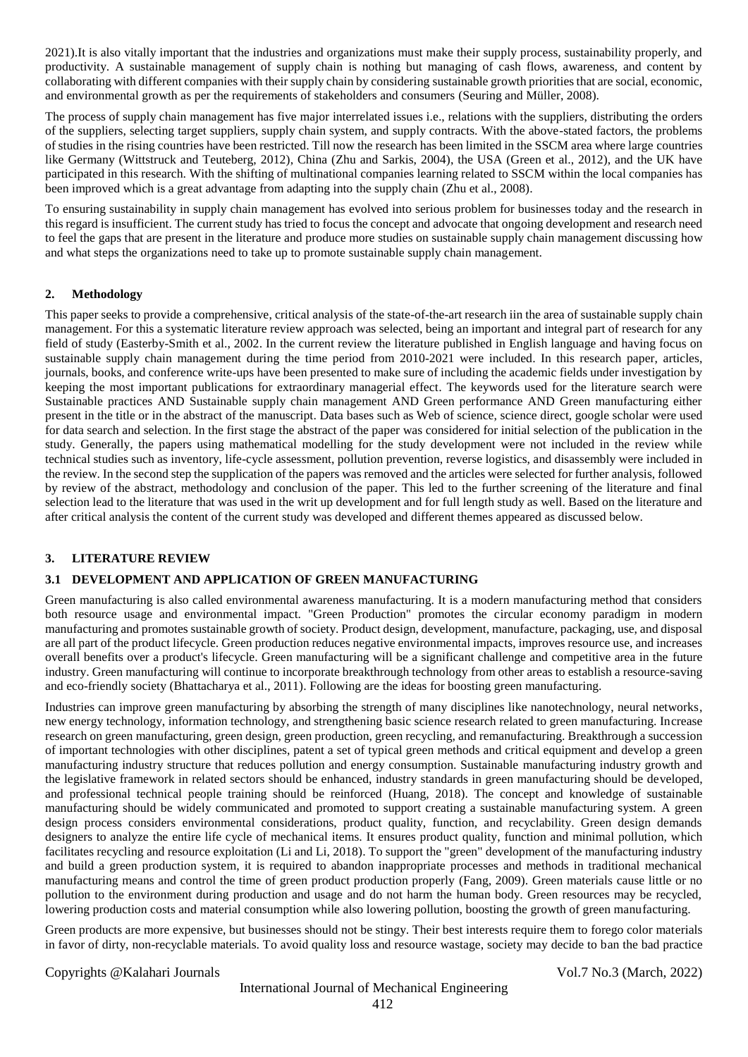2021).It is also vitally important that the industries and organizations must make their supply process, sustainability properly, and productivity. A sustainable management of supply chain is nothing but managing of cash flows, awareness, and content by collaborating with different companies with their supply chain by considering sustainable growth priorities that are social, economic, and environmental growth as per the requirements of stakeholders and consumers (Seuring and Müller, 2008).

The process of supply chain management has five major interrelated issues i.e., relations with the suppliers, distributing the orders of the suppliers, selecting target suppliers, supply chain system, and supply contracts. With the above-stated factors, the problems of studies in the rising countries have been restricted. Till now the research has been limited in the SSCM area where large countries like Germany (Wittstruck and Teuteberg, 2012), China (Zhu and Sarkis, 2004), the USA (Green et al., 2012), and the UK have participated in this research. With the shifting of multinational companies learning related to SSCM within the local companies has been improved which is a great advantage from adapting into the supply chain (Zhu et al., 2008).

To ensuring sustainability in supply chain management has evolved into serious problem for businesses today and the research in this regard is insufficient. The current study has tried to focus the concept and advocate that ongoing development and research need to feel the gaps that are present in the literature and produce more studies on sustainable supply chain management discussing how and what steps the organizations need to take up to promote sustainable supply chain management.

#### **2. Methodology**

This paper seeks to provide a comprehensive, critical analysis of the state-of-the-art research iin the area of sustainable supply chain management. For this a systematic literature review approach was selected, being an important and integral part of research for any field of study (Easterby-Smith et al., 2002. In the current review the literature published in English language and having focus on sustainable supply chain management during the time period from 2010-2021 were included. In this research paper, articles, journals, books, and conference write-ups have been presented to make sure of including the academic fields under investigation by keeping the most important publications for extraordinary managerial effect. The keywords used for the literature search were Sustainable practices AND Sustainable supply chain management AND Green performance AND Green manufacturing either present in the title or in the abstract of the manuscript. Data bases such as Web of science, science direct, google scholar were used for data search and selection. In the first stage the abstract of the paper was considered for initial selection of the publication in the study. Generally, the papers using mathematical modelling for the study development were not included in the review while technical studies such as inventory, life-cycle assessment, pollution prevention, reverse logistics, and disassembly were included in the review. In the second step the supplication of the papers was removed and the articles were selected for further analysis, followed by review of the abstract, methodology and conclusion of the paper. This led to the further screening of the literature and final selection lead to the literature that was used in the writ up development and for full length study as well. Based on the literature and after critical analysis the content of the current study was developed and different themes appeared as discussed below.

#### **3. LITERATURE REVIEW**

### **3.1 DEVELOPMENT AND APPLICATION OF GREEN MANUFACTURING**

Green manufacturing is also called environmental awareness manufacturing. It is a modern manufacturing method that considers both resource usage and environmental impact. "Green Production" promotes the circular economy paradigm in modern manufacturing and promotes sustainable growth of society. Product design, development, manufacture, packaging, use, and disposal are all part of the product lifecycle. Green production reduces negative environmental impacts, improves resource use, and increases overall benefits over a product's lifecycle. Green manufacturing will be a significant challenge and competitive area in the future industry. Green manufacturing will continue to incorporate breakthrough technology from other areas to establish a resource-saving and eco-friendly society (Bhattacharya et al., 2011). Following are the ideas for boosting green manufacturing.

Industries can improve green manufacturing by absorbing the strength of many disciplines like nanotechnology, neural networks, new energy technology, information technology, and strengthening basic science research related to green manufacturing. Increase research on green manufacturing, green design, green production, green recycling, and remanufacturing. Breakthrough a succession of important technologies with other disciplines, patent a set of typical green methods and critical equipment and develop a green manufacturing industry structure that reduces pollution and energy consumption. Sustainable manufacturing industry growth and the legislative framework in related sectors should be enhanced, industry standards in green manufacturing should be developed, and professional technical people training should be reinforced (Huang, 2018). The concept and knowledge of sustainable manufacturing should be widely communicated and promoted to support creating a sustainable manufacturing system. A green design process considers environmental considerations, product quality, function, and recyclability. Green design demands designers to analyze the entire life cycle of mechanical items. It ensures product quality, function and minimal pollution, which facilitates recycling and resource exploitation (Li and Li, 2018). To support the "green" development of the manufacturing industry and build a green production system, it is required to abandon inappropriate processes and methods in traditional mechanical manufacturing means and control the time of green product production properly (Fang, 2009). Green materials cause little or no pollution to the environment during production and usage and do not harm the human body. Green resources may be recycled, lowering production costs and material consumption while also lowering pollution, boosting the growth of green manufacturing.

Green products are more expensive, but businesses should not be stingy. Their best interests require them to forego color materials in favor of dirty, non-recyclable materials. To avoid quality loss and resource wastage, society may decide to ban the bad practice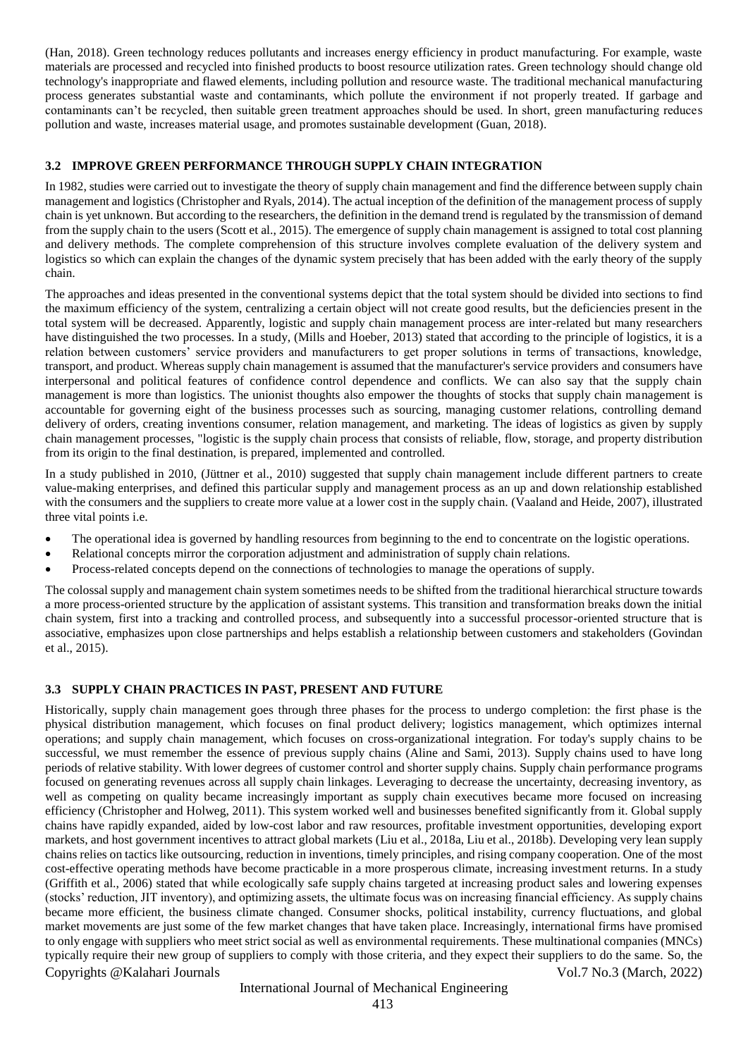(Han, 2018). Green technology reduces pollutants and increases energy efficiency in product manufacturing. For example, waste materials are processed and recycled into finished products to boost resource utilization rates. Green technology should change old technology's inappropriate and flawed elements, including pollution and resource waste. The traditional mechanical manufacturing process generates substantial waste and contaminants, which pollute the environment if not properly treated. If garbage and contaminants can't be recycled, then suitable green treatment approaches should be used. In short, green manufacturing reduces pollution and waste, increases material usage, and promotes sustainable development (Guan, 2018).

#### **3.2 IMPROVE GREEN PERFORMANCE THROUGH SUPPLY CHAIN INTEGRATION**

In 1982, studies were carried out to investigate the theory of supply chain management and find the difference between supply chain management and logistics (Christopher and Ryals, 2014). The actual inception of the definition of the management process of supply chain is yet unknown. But according to the researchers, the definition in the demand trend is regulated by the transmission of demand from the supply chain to the users (Scott et al., 2015). The emergence of supply chain management is assigned to total cost planning and delivery methods. The complete comprehension of this structure involves complete evaluation of the delivery system and logistics so which can explain the changes of the dynamic system precisely that has been added with the early theory of the supply chain.

The approaches and ideas presented in the conventional systems depict that the total system should be divided into sections to find the maximum efficiency of the system, centralizing a certain object will not create good results, but the deficiencies present in the total system will be decreased. Apparently, logistic and supply chain management process are inter-related but many researchers have distinguished the two processes. In a study, (Mills and Hoeber, 2013) stated that according to the principle of logistics, it is a relation between customers' service providers and manufacturers to get proper solutions in terms of transactions, knowledge, transport, and product. Whereas supply chain management is assumed that the manufacturer's service providers and consumers have interpersonal and political features of confidence control dependence and conflicts. We can also say that the supply chain management is more than logistics. The unionist thoughts also empower the thoughts of stocks that supply chain management is accountable for governing eight of the business processes such as sourcing, managing customer relations, controlling demand delivery of orders, creating inventions consumer, relation management, and marketing. The ideas of logistics as given by supply chain management processes, "logistic is the supply chain process that consists of reliable, flow, storage, and property distribution from its origin to the final destination, is prepared, implemented and controlled.

In a study published in 2010, (Jüttner et al., 2010) suggested that supply chain management include different partners to create value-making enterprises, and defined this particular supply and management process as an up and down relationship established with the consumers and the suppliers to create more value at a lower cost in the supply chain. (Vaaland and Heide, 2007), illustrated three vital points i.e.

- The operational idea is governed by handling resources from beginning to the end to concentrate on the logistic operations.
- Relational concepts mirror the corporation adjustment and administration of supply chain relations.
- Process-related concepts depend on the connections of technologies to manage the operations of supply.

The colossal supply and management chain system sometimes needs to be shifted from the traditional hierarchical structure towards a more process-oriented structure by the application of assistant systems. This transition and transformation breaks down the initial chain system, first into a tracking and controlled process, and subsequently into a successful processor-oriented structure that is associative, emphasizes upon close partnerships and helps establish a relationship between customers and stakeholders (Govindan et al., 2015).

#### **3.3 SUPPLY CHAIN PRACTICES IN PAST, PRESENT AND FUTURE**

Copyrights @Kalahari Journals Vol.7 No.3 (March, 2022) Historically, supply chain management goes through three phases for the process to undergo completion: the first phase is the physical distribution management, which focuses on final product delivery; logistics management, which optimizes internal operations; and supply chain management, which focuses on cross-organizational integration. For today's supply chains to be successful, we must remember the essence of previous supply chains (Aline and Sami, 2013). Supply chains used to have long periods of relative stability. With lower degrees of customer control and shorter supply chains. Supply chain performance programs focused on generating revenues across all supply chain linkages. Leveraging to decrease the uncertainty, decreasing inventory, as well as competing on quality became increasingly important as supply chain executives became more focused on increasing efficiency (Christopher and Holweg, 2011). This system worked well and businesses benefited significantly from it. Global supply chains have rapidly expanded, aided by low-cost labor and raw resources, profitable investment opportunities, developing export markets, and host government incentives to attract global markets (Liu et al., 2018a, Liu et al., 2018b). Developing very lean supply chains relies on tactics like outsourcing, reduction in inventions, timely principles, and rising company cooperation. One of the most cost-effective operating methods have become practicable in a more prosperous climate, increasing investment returns. In a study (Griffith et al., 2006) stated that while ecologically safe supply chains targeted at increasing product sales and lowering expenses (stocks' reduction, JIT inventory), and optimizing assets, the ultimate focus was on increasing financial efficiency. As supply chains became more efficient, the business climate changed. Consumer shocks, political instability, currency fluctuations, and global market movements are just some of the few market changes that have taken place. Increasingly, international firms have promised to only engage with suppliers who meet strict social as well as environmental requirements. These multinational companies (MNCs) typically require their new group of suppliers to comply with those criteria, and they expect their suppliers to do the same. So, the

### International Journal of Mechanical Engineering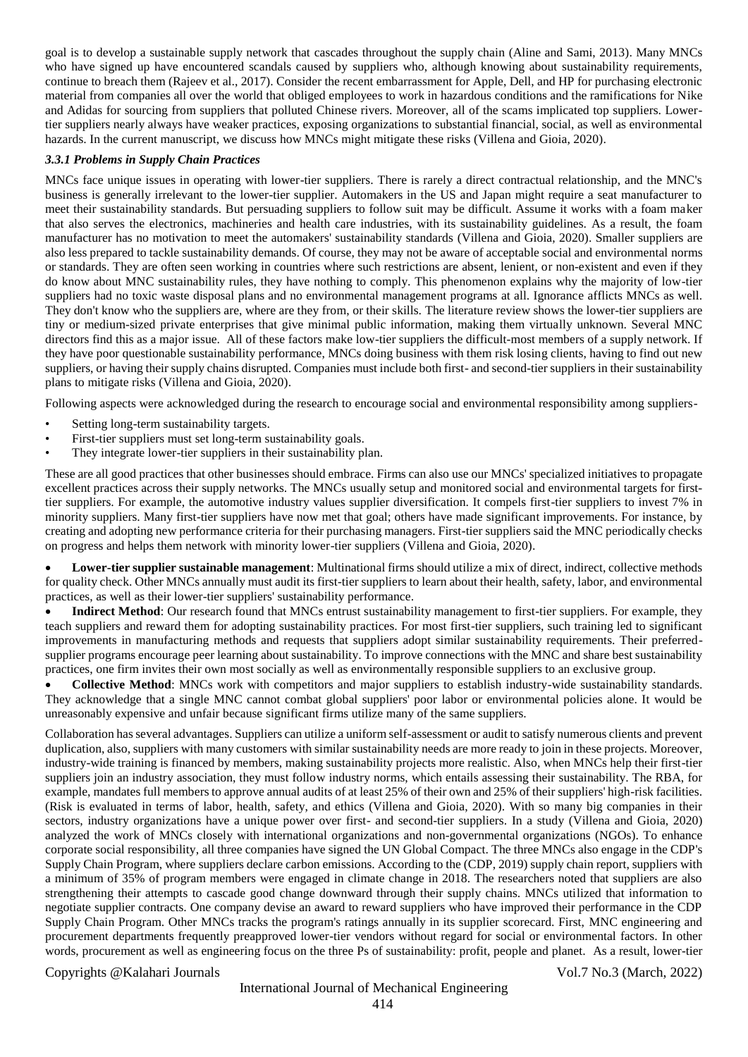goal is to develop a sustainable supply network that cascades throughout the supply chain (Aline and Sami, 2013). Many MNCs who have signed up have encountered scandals caused by suppliers who, although knowing about sustainability requirements, continue to breach them (Rajeev et al., 2017). Consider the recent embarrassment for Apple, Dell, and HP for purchasing electronic material from companies all over the world that obliged employees to work in hazardous conditions and the ramifications for Nike and Adidas for sourcing from suppliers that polluted Chinese rivers. Moreover, all of the scams implicated top suppliers. Lowertier suppliers nearly always have weaker practices, exposing organizations to substantial financial, social, as well as environmental hazards. In the current manuscript, we discuss how MNCs might mitigate these risks (Villena and Gioia, 2020).

#### *3.3.1 Problems in Supply Chain Practices*

MNCs face unique issues in operating with lower-tier suppliers. There is rarely a direct contractual relationship, and the MNC's business is generally irrelevant to the lower-tier supplier. Automakers in the US and Japan might require a seat manufacturer to meet their sustainability standards. But persuading suppliers to follow suit may be difficult. Assume it works with a foam maker that also serves the electronics, machineries and health care industries, with its sustainability guidelines. As a result, the foam manufacturer has no motivation to meet the automakers' sustainability standards (Villena and Gioia, 2020). Smaller suppliers are also less prepared to tackle sustainability demands. Of course, they may not be aware of acceptable social and environmental norms or standards. They are often seen working in countries where such restrictions are absent, lenient, or non-existent and even if they do know about MNC sustainability rules, they have nothing to comply. This phenomenon explains why the majority of low-tier suppliers had no toxic waste disposal plans and no environmental management programs at all. Ignorance afflicts MNCs as well. They don't know who the suppliers are, where are they from, or their skills. The literature review shows the lower-tier suppliers are tiny or medium-sized private enterprises that give minimal public information, making them virtually unknown. Several MNC directors find this as a major issue. All of these factors make low-tier suppliers the difficult-most members of a supply network. If they have poor questionable sustainability performance, MNCs doing business with them risk losing clients, having to find out new suppliers, or having their supply chains disrupted. Companies must include both first- and second-tier suppliers in their sustainability plans to mitigate risks (Villena and Gioia, 2020).

Following aspects were acknowledged during the research to encourage social and environmental responsibility among suppliers-

- Setting long-term sustainability targets.
- First-tier suppliers must set long-term sustainability goals.
- They integrate lower-tier suppliers in their sustainability plan.

These are all good practices that other businesses should embrace. Firms can also use our MNCs' specialized initiatives to propagate excellent practices across their supply networks. The MNCs usually setup and monitored social and environmental targets for firsttier suppliers. For example, the automotive industry values supplier diversification. It compels first-tier suppliers to invest 7% in minority suppliers. Many first-tier suppliers have now met that goal; others have made significant improvements. For instance, by creating and adopting new performance criteria for their purchasing managers. First-tier suppliers said the MNC periodically checks on progress and helps them network with minority lower-tier suppliers (Villena and Gioia, 2020).

 **Lower-tier supplier sustainable management**: Multinational firms should utilize a mix of direct, indirect, collective methods for quality check. Other MNCs annually must audit its first-tier suppliers to learn about their health, safety, labor, and environmental practices, as well as their lower-tier suppliers' sustainability performance.

**Indirect Method**: Our research found that MNCs entrust sustainability management to first-tier suppliers. For example, they teach suppliers and reward them for adopting sustainability practices. For most first-tier suppliers, such training led to significant improvements in manufacturing methods and requests that suppliers adopt similar sustainability requirements. Their preferredsupplier programs encourage peer learning about sustainability. To improve connections with the MNC and share best sustainability practices, one firm invites their own most socially as well as environmentally responsible suppliers to an exclusive group.

 **Collective Method**: MNCs work with competitors and major suppliers to establish industry-wide sustainability standards. They acknowledge that a single MNC cannot combat global suppliers' poor labor or environmental policies alone. It would be unreasonably expensive and unfair because significant firms utilize many of the same suppliers.

Collaboration has several advantages. Suppliers can utilize a uniform self-assessment or audit to satisfy numerous clients and prevent duplication, also, suppliers with many customers with similar sustainability needs are more ready to join in these projects. Moreover, industry-wide training is financed by members, making sustainability projects more realistic. Also, when MNCs help their first-tier suppliers join an industry association, they must follow industry norms, which entails assessing their sustainability. The RBA, for example, mandates full members to approve annual audits of at least 25% of their own and 25% of their suppliers' high-risk facilities. (Risk is evaluated in terms of labor, health, safety, and ethics (Villena and Gioia, 2020). With so many big companies in their sectors, industry organizations have a unique power over first- and second-tier suppliers. In a study (Villena and Gioia, 2020) analyzed the work of MNCs closely with international organizations and non-governmental organizations (NGOs). To enhance corporate social responsibility, all three companies have signed the UN Global Compact. The three MNCs also engage in the CDP's Supply Chain Program, where suppliers declare carbon emissions. According to the (CDP, 2019) supply chain report, suppliers with a minimum of 35% of program members were engaged in climate change in 2018. The researchers noted that suppliers are also strengthening their attempts to cascade good change downward through their supply chains. MNCs utilized that information to negotiate supplier contracts. One company devise an award to reward suppliers who have improved their performance in the CDP Supply Chain Program. Other MNCs tracks the program's ratings annually in its supplier scorecard. First, MNC engineering and procurement departments frequently preapproved lower-tier vendors without regard for social or environmental factors. In other words, procurement as well as engineering focus on the three Ps of sustainability: profit, people and planet. As a result, lower-tier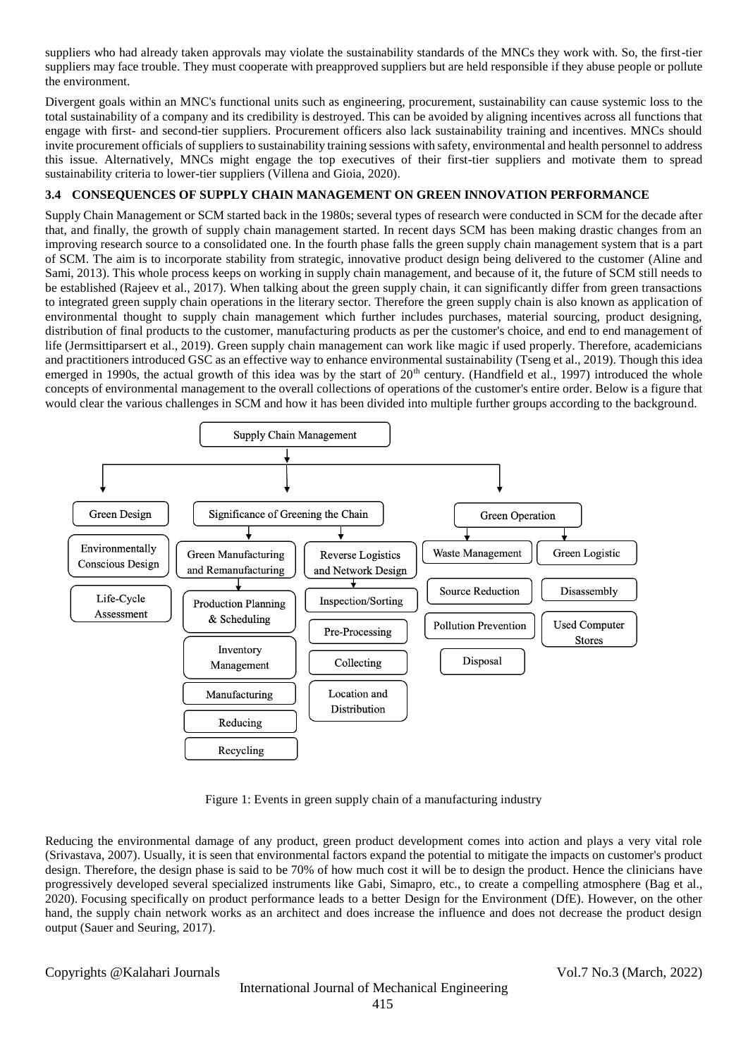suppliers who had already taken approvals may violate the sustainability standards of the MNCs they work with. So, the first-tier suppliers may face trouble. They must cooperate with preapproved suppliers but are held responsible if they abuse people or pollute the environment.

Divergent goals within an MNC's functional units such as engineering, procurement, sustainability can cause systemic loss to the total sustainability of a company and its credibility is destroyed. This can be avoided by aligning incentives across all functions that engage with first- and second-tier suppliers. Procurement officers also lack sustainability training and incentives. MNCs should invite procurement officials of suppliers to sustainability training sessions with safety, environmental and health personnel to address this issue. Alternatively, MNCs might engage the top executives of their first-tier suppliers and motivate them to spread sustainability criteria to lower-tier suppliers (Villena and Gioia, 2020).

#### **3.4 CONSEQUENCES OF SUPPLY CHAIN MANAGEMENT ON GREEN INNOVATION PERFORMANCE**

Supply Chain Management or SCM started back in the 1980s; several types of research were conducted in SCM for the decade after that, and finally, the growth of supply chain management started. In recent days SCM has been making drastic changes from an improving research source to a consolidated one. In the fourth phase falls the green supply chain management system that is a part of SCM. The aim is to incorporate stability from strategic, innovative product design being delivered to the customer (Aline and Sami, 2013). This whole process keeps on working in supply chain management, and because of it, the future of SCM still needs to be established (Rajeev et al., 2017). When talking about the green supply chain, it can significantly differ from green transactions to integrated green supply chain operations in the literary sector. Therefore the green supply chain is also known as application of environmental thought to supply chain management which further includes purchases, material sourcing, product designing, distribution of final products to the customer, manufacturing products as per the customer's choice, and end to end management of life (Jermsittiparsert et al., 2019). Green supply chain management can work like magic if used properly. Therefore, academicians and practitioners introduced GSC as an effective way to enhance environmental sustainability (Tseng et al., 2019). Though this idea emerged in 1990s, the actual growth of this idea was by the start of  $20<sup>th</sup>$  century. (Handfield et al., 1997) introduced the whole concepts of environmental management to the overall collections of operations of the customer's entire order. Below is a figure that would clear the various challenges in SCM and how it has been divided into multiple further groups according to the background.



Figure 1: Events in green supply chain of a manufacturing industry

Reducing the environmental damage of any product, green product development comes into action and plays a very vital role (Srivastava, 2007). Usually, it is seen that environmental factors expand the potential to mitigate the impacts on customer's product design. Therefore, the design phase is said to be 70% of how much cost it will be to design the product. Hence the clinicians have progressively developed several specialized instruments like Gabi, Simapro, etc., to create a compelling atmosphere (Bag et al., 2020). Focusing specifically on product performance leads to a better Design for the Environment (DfE). However, on the other hand, the supply chain network works as an architect and does increase the influence and does not decrease the product design output (Sauer and Seuring, 2017).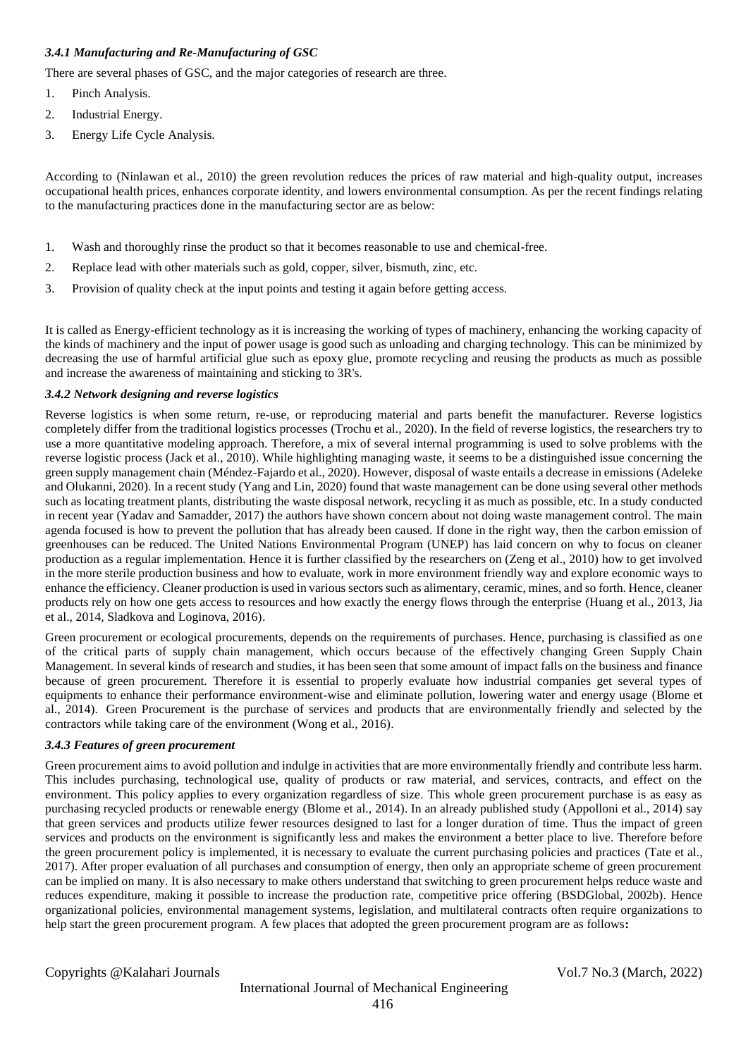#### *3.4.1 Manufacturing and Re-Manufacturing of GSC*

There are several phases of GSC, and the major categories of research are three.

- 1. Pinch Analysis.
- 2. Industrial Energy.
- 3. Energy Life Cycle Analysis.

According to (Ninlawan et al., 2010) the green revolution reduces the prices of raw material and high-quality output, increases occupational health prices, enhances corporate identity, and lowers environmental consumption. As per the recent findings relating to the manufacturing practices done in the manufacturing sector are as below:

- 1. Wash and thoroughly rinse the product so that it becomes reasonable to use and chemical-free.
- 2. Replace lead with other materials such as gold, copper, silver, bismuth, zinc, etc.
- 3. Provision of quality check at the input points and testing it again before getting access.

It is called as Energy-efficient technology as it is increasing the working of types of machinery, enhancing the working capacity of the kinds of machinery and the input of power usage is good such as unloading and charging technology. This can be minimized by decreasing the use of harmful artificial glue such as epoxy glue, promote recycling and reusing the products as much as possible and increase the awareness of maintaining and sticking to 3R's.

#### *3.4.2 Network designing and reverse logistics*

Reverse logistics is when some return, re-use, or reproducing material and parts benefit the manufacturer. Reverse logistics completely differ from the traditional logistics processes (Trochu et al., 2020). In the field of reverse logistics, the researchers try to use a more quantitative modeling approach. Therefore, a mix of several internal programming is used to solve problems with the reverse logistic process (Jack et al., 2010). While highlighting managing waste, it seems to be a distinguished issue concerning the green supply management chain (Méndez-Fajardo et al., 2020). However, disposal of waste entails a decrease in emissions (Adeleke and Olukanni, 2020). In a recent study (Yang and Lin, 2020) found that waste management can be done using several other methods such as locating treatment plants, distributing the waste disposal network, recycling it as much as possible, etc. In a study conducted in recent year (Yadav and Samadder, 2017) the authors have shown concern about not doing waste management control. The main agenda focused is how to prevent the pollution that has already been caused. If done in the right way, then the carbon emission of greenhouses can be reduced. The United Nations Environmental Program (UNEP) has laid concern on why to focus on cleaner production as a regular implementation. Hence it is further classified by the researchers on (Zeng et al., 2010) how to get involved in the more sterile production business and how to evaluate, work in more environment friendly way and explore economic ways to enhance the efficiency. Cleaner production is used in various sectors such as alimentary, ceramic, mines, and so forth. Hence, cleaner products rely on how one gets access to resources and how exactly the energy flows through the enterprise (Huang et al., 2013, Jia et al., 2014, Sladkova and Loginova, 2016).

Green procurement or ecological procurements, depends on the requirements of purchases. Hence, purchasing is classified as one of the critical parts of supply chain management, which occurs because of the effectively changing Green Supply Chain Management. In several kinds of research and studies, it has been seen that some amount of impact falls on the business and finance because of green procurement. Therefore it is essential to properly evaluate how industrial companies get several types of equipments to enhance their performance environment-wise and eliminate pollution, lowering water and energy usage (Blome et al., 2014). Green Procurement is the purchase of services and products that are environmentally friendly and selected by the contractors while taking care of the environment (Wong et al., 2016).

#### *3.4.3 Features of green procurement*

Green procurement aims to avoid pollution and indulge in activities that are more environmentally friendly and contribute less harm. This includes purchasing, technological use, quality of products or raw material, and services, contracts, and effect on the environment. This policy applies to every organization regardless of size. This whole green procurement purchase is as easy as purchasing recycled products or renewable energy (Blome et al., 2014). In an already published study (Appolloni et al., 2014) say that green services and products utilize fewer resources designed to last for a longer duration of time. Thus the impact of green services and products on the environment is significantly less and makes the environment a better place to live. Therefore before the green procurement policy is implemented, it is necessary to evaluate the current purchasing policies and practices (Tate et al., 2017). After proper evaluation of all purchases and consumption of energy, then only an appropriate scheme of green procurement can be implied on many. It is also necessary to make others understand that switching to green procurement helps reduce waste and reduces expenditure, making it possible to increase the production rate, competitive price offering (BSDGlobal, 2002b). Hence organizational policies, environmental management systems, legislation, and multilateral contracts often require organizations to help start the green procurement program. A few places that adopted the green procurement program are as follows**:**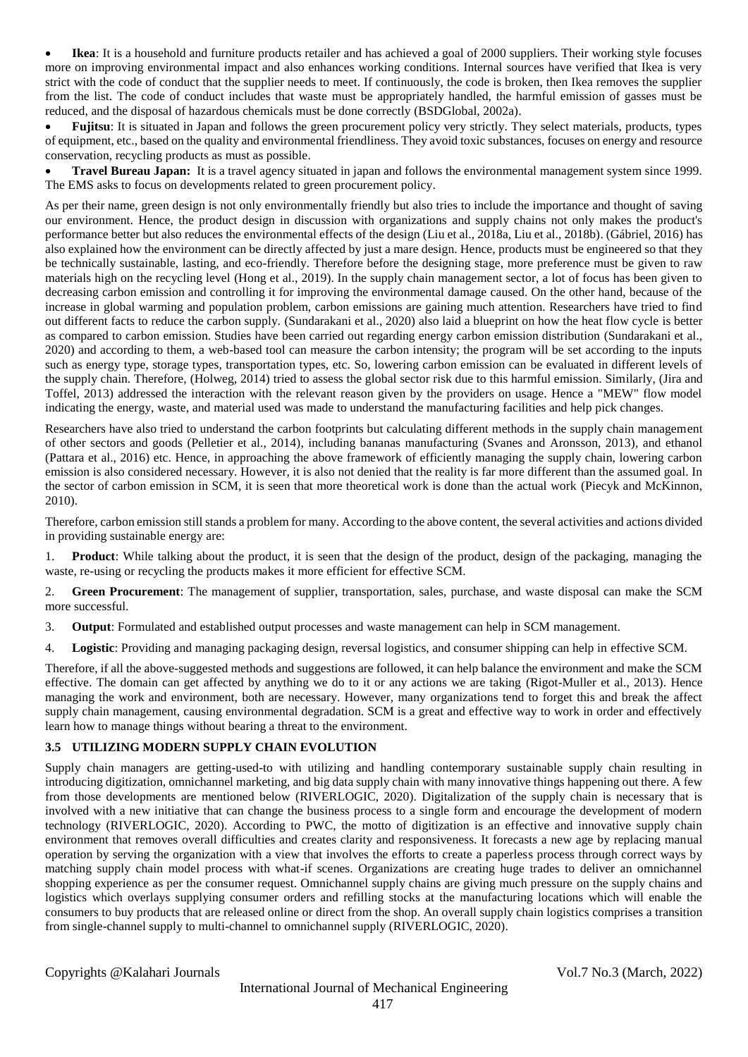**Ikea**: It is a household and furniture products retailer and has achieved a goal of 2000 suppliers. Their working style focuses more on improving environmental impact and also enhances working conditions. Internal sources have verified that Ikea is very strict with the code of conduct that the supplier needs to meet. If continuously, the code is broken, then Ikea removes the supplier from the list. The code of conduct includes that waste must be appropriately handled, the harmful emission of gasses must be reduced, and the disposal of hazardous chemicals must be done correctly (BSDGlobal, 2002a).

 **Fujitsu**: It is situated in Japan and follows the green procurement policy very strictly. They select materials, products, types of equipment, etc., based on the quality and environmental friendliness. They avoid toxic substances, focuses on energy and resource conservation, recycling products as must as possible.

 **Travel Bureau Japan:** It is a travel agency situated in japan and follows the environmental management system since 1999. The EMS asks to focus on developments related to green procurement policy.

As per their name, green design is not only environmentally friendly but also tries to include the importance and thought of saving our environment. Hence, the product design in discussion with organizations and supply chains not only makes the product's performance better but also reduces the environmental effects of the design (Liu et al., 2018a, Liu et al., 2018b). (Gábriel, 2016) has also explained how the environment can be directly affected by just a mare design. Hence, products must be engineered so that they be technically sustainable, lasting, and eco-friendly. Therefore before the designing stage, more preference must be given to raw materials high on the recycling level (Hong et al., 2019). In the supply chain management sector, a lot of focus has been given to decreasing carbon emission and controlling it for improving the environmental damage caused. On the other hand, because of the increase in global warming and population problem, carbon emissions are gaining much attention. Researchers have tried to find out different facts to reduce the carbon supply. (Sundarakani et al., 2020) also laid a blueprint on how the heat flow cycle is better as compared to carbon emission. Studies have been carried out regarding energy carbon emission distribution (Sundarakani et al., 2020) and according to them, a web-based tool can measure the carbon intensity; the program will be set according to the inputs such as energy type, storage types, transportation types, etc. So, lowering carbon emission can be evaluated in different levels of the supply chain. Therefore, (Holweg, 2014) tried to assess the global sector risk due to this harmful emission. Similarly, (Jira and Toffel, 2013) addressed the interaction with the relevant reason given by the providers on usage. Hence a "MEW" flow model indicating the energy, waste, and material used was made to understand the manufacturing facilities and help pick changes.

Researchers have also tried to understand the carbon footprints but calculating different methods in the supply chain management of other sectors and goods (Pelletier et al., 2014), including bananas manufacturing (Svanes and Aronsson, 2013), and ethanol (Pattara et al., 2016) etc. Hence, in approaching the above framework of efficiently managing the supply chain, lowering carbon emission is also considered necessary. However, it is also not denied that the reality is far more different than the assumed goal. In the sector of carbon emission in SCM, it is seen that more theoretical work is done than the actual work (Piecyk and McKinnon, 2010).

Therefore, carbon emission still stands a problem for many. According to the above content, the several activities and actions divided in providing sustainable energy are:

1. **Product**: While talking about the product, it is seen that the design of the product, design of the packaging, managing the waste, re-using or recycling the products makes it more efficient for effective SCM.

2. **Green Procurement**: The management of supplier, transportation, sales, purchase, and waste disposal can make the SCM more successful.

3. **Output**: Formulated and established output processes and waste management can help in SCM management.

4. **Logistic**: Providing and managing packaging design, reversal logistics, and consumer shipping can help in effective SCM.

Therefore, if all the above-suggested methods and suggestions are followed, it can help balance the environment and make the SCM effective. The domain can get affected by anything we do to it or any actions we are taking (Rigot-Muller et al., 2013). Hence managing the work and environment, both are necessary. However, many organizations tend to forget this and break the affect supply chain management, causing environmental degradation. SCM is a great and effective way to work in order and effectively learn how to manage things without bearing a threat to the environment.

### **3.5 UTILIZING MODERN SUPPLY CHAIN EVOLUTION**

Supply chain managers are getting-used-to with utilizing and handling contemporary sustainable supply chain resulting in introducing digitization, omnichannel marketing, and big data supply chain with many innovative things happening out there. A few from those developments are mentioned below (RIVERLOGIC, 2020). Digitalization of the supply chain is necessary that is involved with a new initiative that can change the business process to a single form and encourage the development of modern technology (RIVERLOGIC, 2020). According to PWC, the motto of digitization is an effective and innovative supply chain environment that removes overall difficulties and creates clarity and responsiveness. It forecasts a new age by replacing manual operation by serving the organization with a view that involves the efforts to create a paperless process through correct ways by matching supply chain model process with what-if scenes. Organizations are creating huge trades to deliver an omnichannel shopping experience as per the consumer request. Omnichannel supply chains are giving much pressure on the supply chains and logistics which overlays supplying consumer orders and refilling stocks at the manufacturing locations which will enable the consumers to buy products that are released online or direct from the shop. An overall supply chain logistics comprises a transition from single-channel supply to multi-channel to omnichannel supply (RIVERLOGIC, 2020).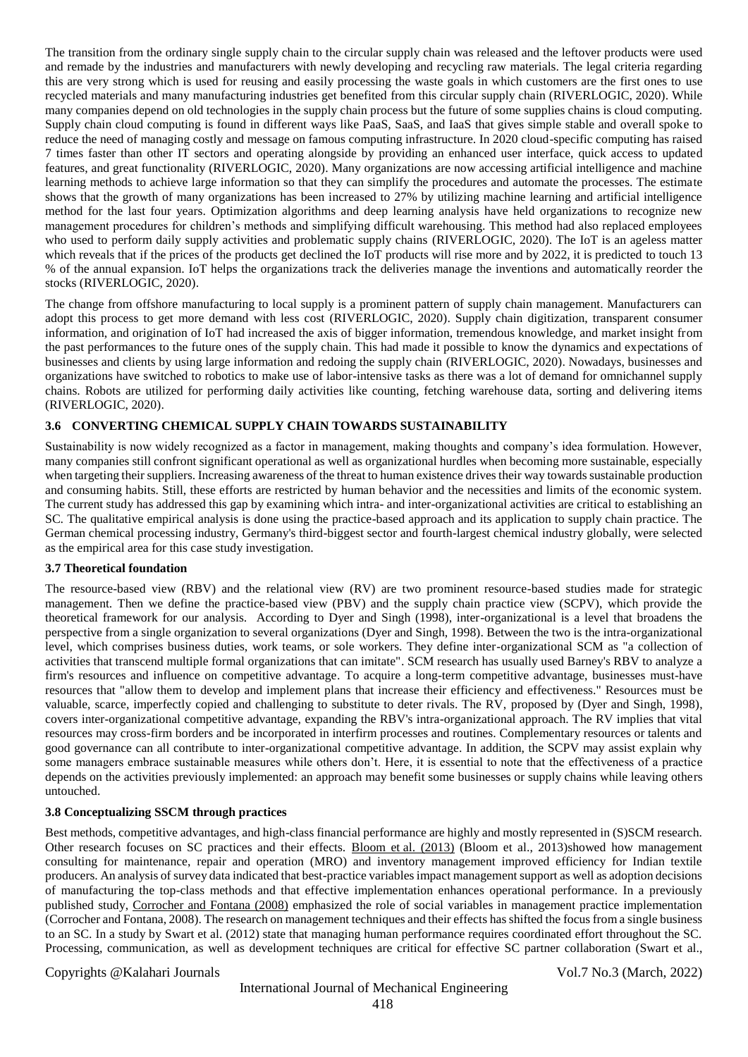The transition from the ordinary single supply chain to the circular supply chain was released and the leftover products were used and remade by the industries and manufacturers with newly developing and recycling raw materials. The legal criteria regarding this are very strong which is used for reusing and easily processing the waste goals in which customers are the first ones to use recycled materials and many manufacturing industries get benefited from this circular supply chain (RIVERLOGIC, 2020). While many companies depend on old technologies in the supply chain process but the future of some supplies chains is cloud computing. Supply chain cloud computing is found in different ways like PaaS, SaaS, and IaaS that gives simple stable and overall spoke to reduce the need of managing costly and message on famous computing infrastructure. In 2020 cloud-specific computing has raised 7 times faster than other IT sectors and operating alongside by providing an enhanced user interface, quick access to updated features, and great functionality (RIVERLOGIC, 2020). Many organizations are now accessing artificial intelligence and machine learning methods to achieve large information so that they can simplify the procedures and automate the processes. The estimate shows that the growth of many organizations has been increased to 27% by utilizing machine learning and artificial intelligence method for the last four years. Optimization algorithms and deep learning analysis have held organizations to recognize new management procedures for children's methods and simplifying difficult warehousing. This method had also replaced employees who used to perform daily supply activities and problematic supply chains (RIVERLOGIC, 2020). The IoT is an ageless matter which reveals that if the prices of the products get declined the IoT products will rise more and by 2022, it is predicted to touch 13 % of the annual expansion. IoT helps the organizations track the deliveries manage the inventions and automatically reorder the stocks (RIVERLOGIC, 2020).

The change from offshore manufacturing to local supply is a prominent pattern of supply chain management. Manufacturers can adopt this process to get more demand with less cost (RIVERLOGIC, 2020). Supply chain digitization, transparent consumer information, and origination of IoT had increased the axis of bigger information, tremendous knowledge, and market insight from the past performances to the future ones of the supply chain. This had made it possible to know the dynamics and expectations of businesses and clients by using large information and redoing the supply chain (RIVERLOGIC, 2020). Nowadays, businesses and organizations have switched to robotics to make use of labor-intensive tasks as there was a lot of demand for omnichannel supply chains. Robots are utilized for performing daily activities like counting, fetching warehouse data, sorting and delivering items (RIVERLOGIC, 2020).

### **3.6 CONVERTING CHEMICAL SUPPLY CHAIN TOWARDS SUSTAINABILITY**

Sustainability is now widely recognized as a factor in management, making thoughts and company's idea formulation. However, many companies still confront significant operational as well as organizational hurdles when becoming more sustainable, especially when targeting their suppliers. Increasing awareness of the threat to human existence drives their way towards sustainable production and consuming habits. Still, these efforts are restricted by human behavior and the necessities and limits of the economic system. The current study has addressed this gap by examining which intra- and inter-organizational activities are critical to establishing an SC. The qualitative empirical analysis is done using the practice-based approach and its application to supply chain practice. The German chemical processing industry, Germany's third-biggest sector and fourth-largest chemical industry globally, were selected as the empirical area for this case study investigation.

#### **3.7 Theoretical foundation**

The resource-based view (RBV) and the relational view (RV) are two prominent resource-based studies made for strategic management. Then we define the practice-based view (PBV) and the supply chain practice view (SCPV), which provide the theoretical framework for our analysis. According to Dyer and Singh (1998), inter-organizational is a level that broadens the perspective from a single organization to several organizations (Dyer and Singh, 1998). Between the two is the intra-organizational level, which comprises business duties, work teams, or sole workers. They define inter-organizational SCM as "a collection of activities that transcend multiple formal organizations that can imitate". SCM research has usually used Barney's RBV to analyze a firm's resources and influence on competitive advantage. To acquire a long-term competitive advantage, businesses must-have resources that "allow them to develop and implement plans that increase their efficiency and effectiveness." Resources must be valuable, scarce, imperfectly copied and challenging to substitute to deter rivals. The RV, proposed by (Dyer and Singh, 1998), covers inter-organizational competitive advantage, expanding the RBV's intra-organizational approach. The RV implies that vital resources may cross-firm borders and be incorporated in interfirm processes and routines. Complementary resources or talents and good governance can all contribute to inter-organizational competitive advantage. In addition, the SCPV may assist explain why some managers embrace sustainable measures while others don't. Here, it is essential to note that the effectiveness of a practice depends on the activities previously implemented: an approach may benefit some businesses or supply chains while leaving others untouched.

#### **3.8 Conceptualizing SSCM through practices**

Best methods, competitive advantages, and high-class financial performance are highly and mostly represented in (S)SCM research. Other research focuses on SC practices and their effects. Bloom et [al. \(2013\)](https://www-sciencedirect-com.libweb.uob.edu.bh/science/article/pii/S095965261932551X#bib6) (Bloom et al., 2013)showed how management consulting for maintenance, repair and operation (MRO) and inventory management improved efficiency for Indian textile producers. An analysis of survey data indicated that best-practice variables impact management support as well as adoption decisions of manufacturing the top-class methods and that effective implementation enhances operational performance. In a previously published study, [Corrocher and Fontana \(2008\)](https://www-sciencedirect-com.libweb.uob.edu.bh/science/article/pii/S095965261932551X#bib20) emphasized the role of social variables in management practice implementation (Corrocher and Fontana, 2008). The research on management techniques and their effects has shifted the focus from a single business to an SC. In a study by Swart et al. (2012) state that managing human performance requires coordinated effort throughout the SC. Processing, communication, as well as development techniques are critical for effective SC partner collaboration (Swart et al.,

#### Copyrights @Kalahari Journals Vol.7 No.3 (March, 2022)

## International Journal of Mechanical Engineering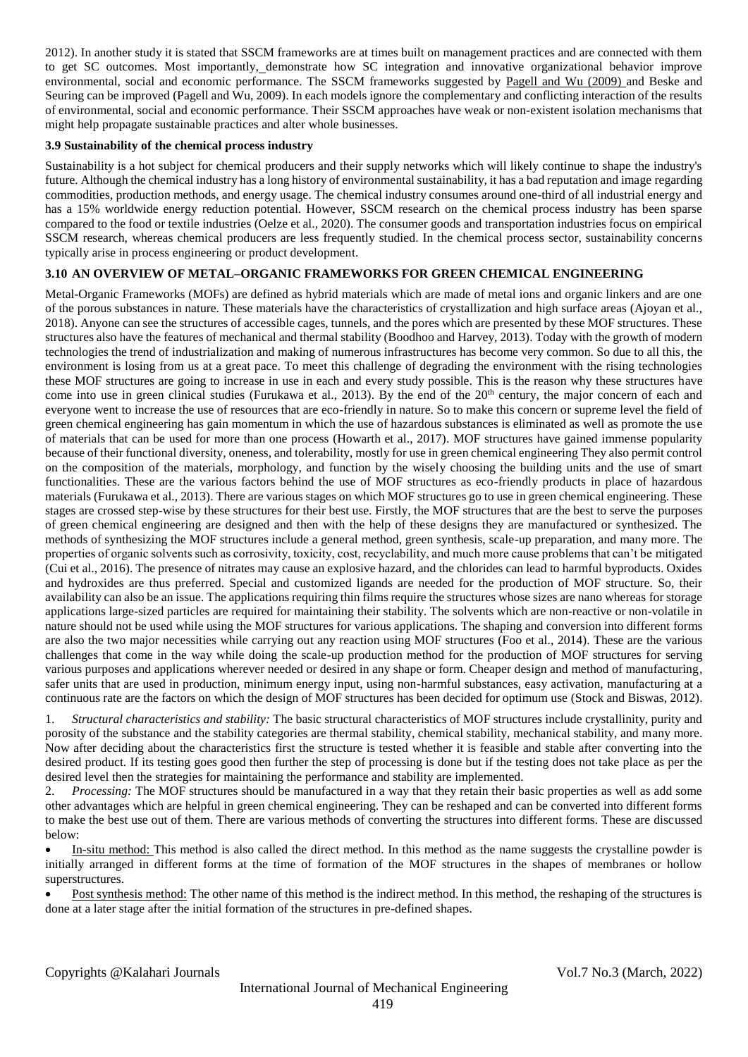2012). In another study it is stated that SSCM frameworks are at times built on management practices and are connected with them to get SC outcomes. Most importantly, demonstrate how SC integration and innovative organizational behavior improve environmental, social and economic performance. The SSCM frameworks suggested by [Pagell and Wu \(2009\)](https://www-sciencedirect-com.libweb.uob.edu.bh/science/article/pii/S095965261932551X#bib56) and Beske and Seuring can be improved (Pagell and Wu, 2009). In each models ignore the complementary and conflicting interaction of the results of environmental, social and economic performance. Their SSCM approaches have weak or non-existent isolation mechanisms that might help propagate sustainable practices and alter whole businesses.

#### **3.9 Sustainability of the chemical process industry**

Sustainability is a hot subject for chemical producers and their supply networks which will likely continue to shape the industry's future. Although the chemical industry has a long history of environmental sustainability, it has a bad reputation and image regarding commodities, production methods, and energy usage. The chemical industry consumes around one-third of all industrial energy and has a 15% worldwide energy reduction potential. However, SSCM research on the chemical process industry has been sparse compared to the food or textile industries (Oelze et al., 2020). The consumer goods and transportation industries focus on empirical SSCM research, whereas chemical producers are less frequently studied. In the chemical process sector, sustainability concerns typically arise in process engineering or product development.

#### **3.10 AN OVERVIEW OF METAL–ORGANIC FRAMEWORKS FOR GREEN CHEMICAL ENGINEERING**

Metal-Organic Frameworks (MOFs) are defined as hybrid materials which are made of metal ions and organic linkers and are one of the porous substances in nature. These materials have the characteristics of crystallization and high surface areas (Ajoyan et al., 2018). Anyone can see the structures of accessible cages, tunnels, and the pores which are presented by these MOF structures. These structures also have the features of mechanical and thermal stability (Boodhoo and Harvey, 2013). Today with the growth of modern technologies the trend of industrialization and making of numerous infrastructures has become very common. So due to all this, the environment is losing from us at a great pace. To meet this challenge of degrading the environment with the rising technologies these MOF structures are going to increase in use in each and every study possible. This is the reason why these structures have come into use in green clinical studies (Furukawa et al., 2013). By the end of the  $20<sup>th</sup>$  century, the major concern of each and everyone went to increase the use of resources that are eco-friendly in nature. So to make this concern or supreme level the field of green chemical engineering has gain momentum in which the use of hazardous substances is eliminated as well as promote the use of materials that can be used for more than one process (Howarth et al., 2017). MOF structures have gained immense popularity because of their functional diversity, oneness, and tolerability, mostly for use in green chemical engineering They also permit control on the composition of the materials, morphology, and function by the wisely choosing the building units and the use of smart functionalities. These are the various factors behind the use of MOF structures as eco-friendly products in place of hazardous materials (Furukawa et al., 2013). There are various stages on which MOF structures go to use in green chemical engineering. These stages are crossed step-wise by these structures for their best use. Firstly, the MOF structures that are the best to serve the purposes of green chemical engineering are designed and then with the help of these designs they are manufactured or synthesized. The methods of synthesizing the MOF structures include a general method, green synthesis, scale-up preparation, and many more. The properties of organic solvents such as corrosivity, toxicity, cost, recyclability, and much more cause problems that can't be mitigated (Cui et al., 2016). The presence of nitrates may cause an explosive hazard, and the chlorides can lead to harmful byproducts. Oxides and hydroxides are thus preferred. Special and customized ligands are needed for the production of MOF structure. So, their availability can also be an issue. The applications requiring thin films require the structures whose sizes are nano whereas for storage applications large-sized particles are required for maintaining their stability. The solvents which are non-reactive or non-volatile in nature should not be used while using the MOF structures for various applications. The shaping and conversion into different forms are also the two major necessities while carrying out any reaction using MOF structures (Foo et al., 2014). These are the various challenges that come in the way while doing the scale-up production method for the production of MOF structures for serving various purposes and applications wherever needed or desired in any shape or form. Cheaper design and method of manufacturing, safer units that are used in production, minimum energy input, using non-harmful substances, easy activation, manufacturing at a continuous rate are the factors on which the design of MOF structures has been decided for optimum use (Stock and Biswas, 2012).

1. *Structural characteristics and stability:* The basic structural characteristics of MOF structures include crystallinity, purity and porosity of the substance and the stability categories are thermal stability, chemical stability, mechanical stability, and many more. Now after deciding about the characteristics first the structure is tested whether it is feasible and stable after converting into the desired product. If its testing goes good then further the step of processing is done but if the testing does not take place as per the desired level then the strategies for maintaining the performance and stability are implemented.

2. *Processing:* The MOF structures should be manufactured in a way that they retain their basic properties as well as add some other advantages which are helpful in green chemical engineering. They can be reshaped and can be converted into different forms to make the best use out of them. There are various methods of converting the structures into different forms. These are discussed below:

 In-situ method: This method is also called the direct method. In this method as the name suggests the crystalline powder is initially arranged in different forms at the time of formation of the MOF structures in the shapes of membranes or hollow superstructures.

 Post synthesis method: The other name of this method is the indirect method. In this method, the reshaping of the structures is done at a later stage after the initial formation of the structures in pre-defined shapes.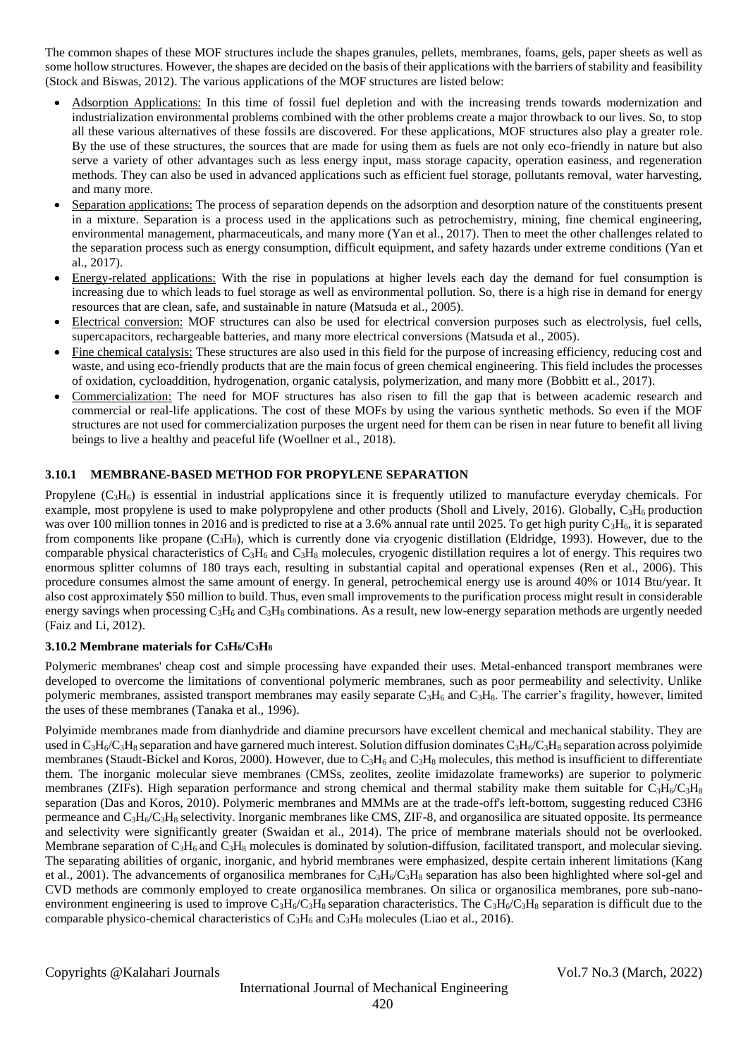The common shapes of these MOF structures include the shapes granules, pellets, membranes, foams, gels, paper sheets as well as some hollow structures. However, the shapes are decided on the basis of their applications with the barriers of stability and feasibility (Stock and Biswas, 2012). The various applications of the MOF structures are listed below:

- Adsorption Applications: In this time of fossil fuel depletion and with the increasing trends towards modernization and industrialization environmental problems combined with the other problems create a major throwback to our lives. So, to stop all these various alternatives of these fossils are discovered. For these applications, MOF structures also play a greater role. By the use of these structures, the sources that are made for using them as fuels are not only eco-friendly in nature but also serve a variety of other advantages such as less energy input, mass storage capacity, operation easiness, and regeneration methods. They can also be used in advanced applications such as efficient fuel storage, pollutants removal, water harvesting, and many more.
- Separation applications: The process of separation depends on the adsorption and desorption nature of the constituents present in a mixture. Separation is a process used in the applications such as petrochemistry, mining, fine chemical engineering, environmental management, pharmaceuticals, and many more (Yan et al., 2017). Then to meet the other challenges related to the separation process such as energy consumption, difficult equipment, and safety hazards under extreme conditions (Yan et al., 2017).
- Energy-related applications: With the rise in populations at higher levels each day the demand for fuel consumption is increasing due to which leads to fuel storage as well as environmental pollution. So, there is a high rise in demand for energy resources that are clean, safe, and sustainable in nature (Matsuda et al., 2005).
- Electrical conversion: MOF structures can also be used for electrical conversion purposes such as electrolysis, fuel cells, supercapacitors, rechargeable batteries, and many more electrical conversions (Matsuda et al., 2005).
- Fine chemical catalysis: These structures are also used in this field for the purpose of increasing efficiency, reducing cost and waste, and using eco-friendly products that are the main focus of green chemical engineering. This field includes the processes of oxidation, cycloaddition, hydrogenation, organic catalysis, polymerization, and many more (Bobbitt et al., 2017).
- Commercialization: The need for MOF structures has also risen to fill the gap that is between academic research and commercial or real-life applications. The cost of these MOFs by using the various synthetic methods. So even if the MOF structures are not used for commercialization purposes the urgent need for them can be risen in near future to benefit all living beings to live a healthy and peaceful life (Woellner et al., 2018).

#### **3.10.1 MEMBRANE-BASED METHOD FOR PROPYLENE SEPARATION**

Propylene  $(C_3H_6)$  is essential in industrial applications since it is frequently utilized to manufacture everyday chemicals. For example, most propylene is used to make polypropylene and other products (Sholl and Lively, 2016). Globally,  $C_3H_6$  production was over 100 million tonnes in 2016 and is predicted to rise at a 3.6% annual rate until 2025. To get high purity  $C_3H_6$ , it is separated from components like propane  $(C_3H_8)$ , which is currently done via cryogenic distillation (Eldridge, 1993). However, due to the comparable physical characteristics of  $C_3H_6$  and  $C_3H_8$  molecules, cryogenic distillation requires a lot of energy. This requires two enormous splitter columns of 180 trays each, resulting in substantial capital and operational expenses (Ren et al., 2006). This procedure consumes almost the same amount of energy. In general, petrochemical energy use is around 40% or 1014 Btu/year. It also cost approximately \$50 million to build. Thus, even small improvements to the purification process might result in considerable energy savings when processing C<sub>3</sub>H<sub>6</sub> and C<sub>3</sub>H<sub>8</sub> combinations. As a result, new low-energy separation methods are urgently needed (Faiz and Li, 2012).

### **3.10.2 Membrane materials for C3H6/C3H<sup>8</sup>**

Polymeric membranes' cheap cost and simple processing have expanded their uses. Metal-enhanced transport membranes were developed to overcome the limitations of conventional polymeric membranes, such as poor permeability and selectivity. Unlike polymeric membranes, assisted transport membranes may easily separate  $C_3H_6$  and  $C_3H_8$ . The carrier's fragility, however, limited the uses of these membranes (Tanaka et al., 1996).

Polyimide membranes made from dianhydride and diamine precursors have excellent chemical and mechanical stability. They are used in  $C_3H_6/C_3H_8$  separation and have garnered much interest. Solution diffusion dominates  $C_3H_6/C_3H_8$  separation across polyimide membranes (Staudt-Bickel and Koros, 2000). However, due to  $C_3H_6$  and  $C_3H_8$  molecules, this method is insufficient to differentiate them. The inorganic molecular sieve membranes (CMSs, zeolites, zeolite imidazolate frameworks) are superior to polymeric membranes (ZIFs). High separation performance and strong chemical and thermal stability make them suitable for  $C_3H_6/C_3H_8$ separation (Das and Koros, 2010). Polymeric membranes and MMMs are at the trade-off's left-bottom, suggesting reduced C3H6 permeance and  $C_3H_6/C_3H_8$  selectivity. Inorganic membranes like CMS, ZIF-8, and organosilica are situated opposite. Its permeance and selectivity were significantly greater (Swaidan et al., 2014). The price of membrane materials should not be overlooked. Membrane separation of  $C_3H_6$  and  $C_3H_8$  molecules is dominated by solution-diffusion, facilitated transport, and molecular sieving. The separating abilities of organic, inorganic, and hybrid membranes were emphasized, despite certain inherent limitations (Kang et al., 2001). The advancements of organosilica membranes for  $C_3H_6/C_3H_8$  separation has also been highlighted where sol-gel and CVD methods are commonly employed to create organosilica membranes. On silica or organosilica membranes, pore sub-nanoenvironment engineering is used to improve  $C_3H_6/C_3H_8$  separation characteristics. The  $C_3H_6/C_3H_8$  separation is difficult due to the comparable physico-chemical characteristics of  $C_3H_6$  and  $C_3H_8$  molecules (Liao et al., 2016).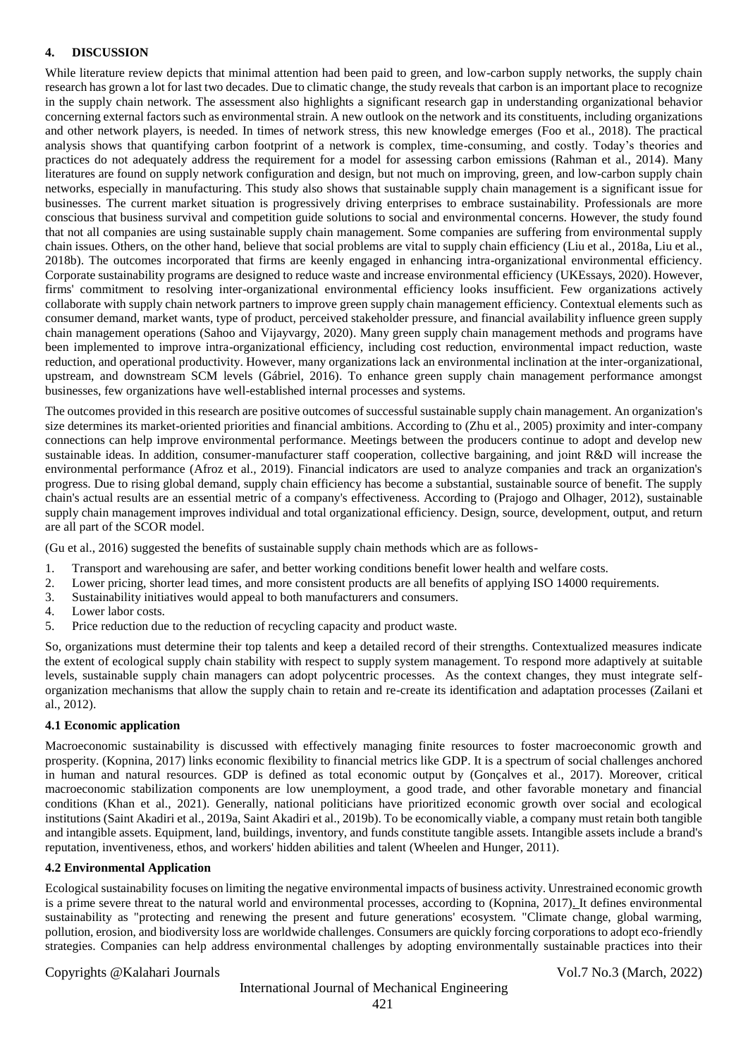#### **4. DISCUSSION**

While literature review depicts that minimal attention had been paid to green, and low-carbon supply networks, the supply chain research has grown a lot for last two decades. Due to climatic change, the study reveals that carbon is an important place to recognize in the supply chain network. The assessment also highlights a significant research gap in understanding organizational behavior concerning external factors such as environmental strain. A new outlook on the network and its constituents, including organizations and other network players, is needed. In times of network stress, this new knowledge emerges (Foo et al., 2018). The practical analysis shows that quantifying carbon footprint of a network is complex, time-consuming, and costly. Today's theories and practices do not adequately address the requirement for a model for assessing carbon emissions (Rahman et al., 2014). Many literatures are found on supply network configuration and design, but not much on improving, green, and low-carbon supply chain networks, especially in manufacturing. This study also shows that sustainable supply chain management is a significant issue for businesses. The current market situation is progressively driving enterprises to embrace sustainability. Professionals are more conscious that business survival and competition guide solutions to social and environmental concerns. However, the study found that not all companies are using sustainable supply chain management. Some companies are suffering from environmental supply chain issues. Others, on the other hand, believe that social problems are vital to supply chain efficiency (Liu et al., 2018a, Liu et al., 2018b). The outcomes incorporated that firms are keenly engaged in enhancing intra-organizational environmental efficiency. Corporate sustainability programs are designed to reduce waste and increase environmental efficiency (UKEssays, 2020). However, firms' commitment to resolving inter-organizational environmental efficiency looks insufficient. Few organizations actively collaborate with supply chain network partners to improve green supply chain management efficiency. Contextual elements such as consumer demand, market wants, type of product, perceived stakeholder pressure, and financial availability influence green supply chain management operations (Sahoo and Vijayvargy, 2020). Many green supply chain management methods and programs have been implemented to improve intra-organizational efficiency, including cost reduction, environmental impact reduction, waste reduction, and operational productivity. However, many organizations lack an environmental inclination at the inter-organizational, upstream, and downstream SCM levels (Gábriel, 2016). To enhance green supply chain management performance amongst businesses, few organizations have well-established internal processes and systems.

The outcomes provided in this research are positive outcomes of successful sustainable supply chain management. An organization's size determines its market-oriented priorities and financial ambitions. According to (Zhu et al., 2005) proximity and inter-company connections can help improve environmental performance. Meetings between the producers continue to adopt and develop new sustainable ideas. In addition, consumer-manufacturer staff cooperation, collective bargaining, and joint R&D will increase the environmental performance (Afroz et al., 2019). Financial indicators are used to analyze companies and track an organization's progress. Due to rising global demand, supply chain efficiency has become a substantial, sustainable source of benefit. The supply chain's actual results are an essential metric of a company's effectiveness. According to (Prajogo and Olhager, 2012), sustainable supply chain management improves individual and total organizational efficiency. Design, source, development, output, and return are all part of the SCOR model.

(Gu et al., 2016) suggested the benefits of sustainable supply chain methods which are as follows-

- 1. Transport and warehousing are safer, and better working conditions benefit lower health and welfare costs.
- 2. Lower pricing, shorter lead times, and more consistent products are all benefits of applying ISO 14000 requirements.
- 3. Sustainability initiatives would appeal to both manufacturers and consumers.
- 4. Lower labor costs.
- 5. Price reduction due to the reduction of recycling capacity and product waste.

So, organizations must determine their top talents and keep a detailed record of their strengths. Contextualized measures indicate the extent of ecological supply chain stability with respect to supply system management. To respond more adaptively at suitable levels, sustainable supply chain managers can adopt polycentric processes. As the context changes, they must integrate selforganization mechanisms that allow the supply chain to retain and re-create its identification and adaptation processes (Zailani et al., 2012).

#### **4.1 Economic application**

Macroeconomic sustainability is discussed with effectively managing finite resources to foster macroeconomic growth and prosperity. (Kopnina, 2017) links economic flexibility to financial metrics like GDP. It is a spectrum of social challenges anchored in human and natural resources. GDP is defined as total economic output by (Gonçalves et al., 2017). Moreover, critical macroeconomic stabilization components are low unemployment, a good trade, and other favorable monetary and financial conditions (Khan et al., 2021). Generally, national politicians have prioritized economic growth over social and ecological institutions (Saint Akadiri et al., 2019a, Saint Akadiri et al., 2019b). To be economically viable, a company must retain both tangible and intangible assets. Equipment, land, buildings, inventory, and funds constitute tangible assets. Intangible assets include a brand's reputation, inventiveness, ethos, and workers' hidden abilities and talent (Wheelen and Hunger, 2011).

#### **4.2 Environmental Application**

Ecological sustainability focuses on limiting the negative environmental impacts of business activity. Unrestrained economic growth is a prime severe threat to the natural world and environmental processes, according to (Kopnina, 2017). It defines environmental sustainability as "protecting and renewing the present and future generations' ecosystem. "Climate change, global warming, pollution, erosion, and biodiversity loss are worldwide challenges. Consumers are quickly forcing corporations to adopt eco-friendly strategies. Companies can help address environmental challenges by adopting environmentally sustainable practices into their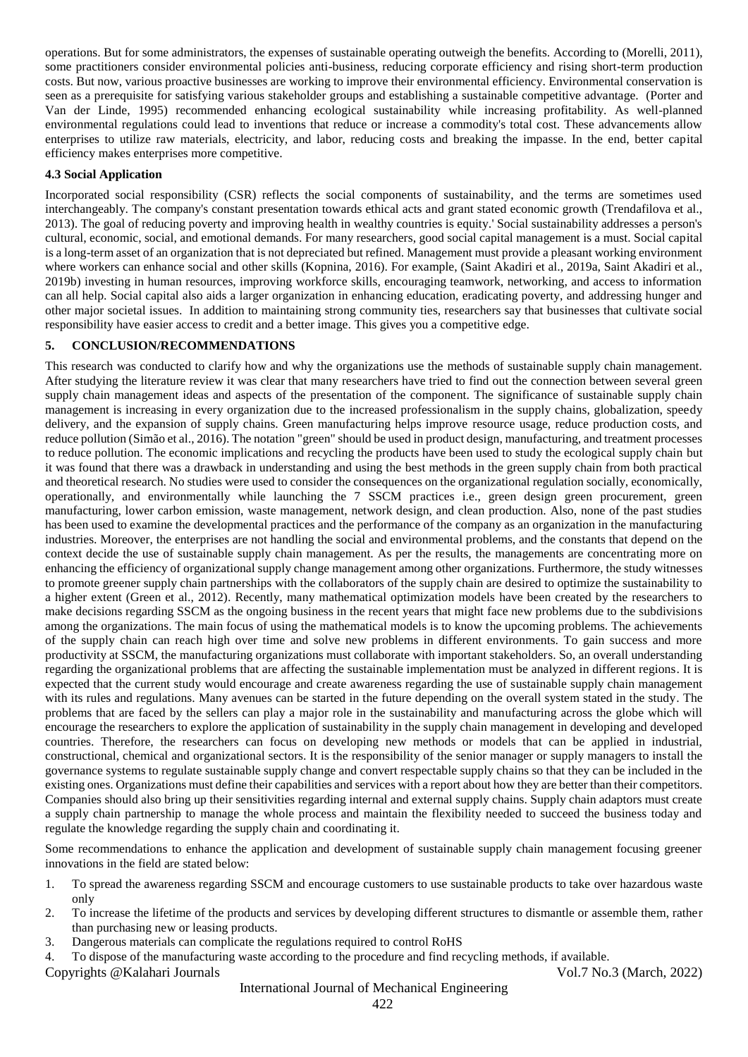operations. But for some administrators, the expenses of sustainable operating outweigh the benefits. According to (Morelli, 2011), some practitioners consider environmental policies anti-business, reducing corporate efficiency and rising short-term production costs. But now, various proactive businesses are working to improve their environmental efficiency. Environmental conservation is seen as a prerequisite for satisfying various stakeholder groups and establishing a sustainable competitive advantage. (Porter and Van der Linde, 1995) recommended enhancing ecological sustainability while increasing profitability. As well-planned environmental regulations could lead to inventions that reduce or increase a commodity's total cost. These advancements allow enterprises to utilize raw materials, electricity, and labor, reducing costs and breaking the impasse. In the end, better capital efficiency makes enterprises more competitive.

#### **4.3 Social Application**

Incorporated social responsibility (CSR) reflects the social components of sustainability, and the terms are sometimes used interchangeably. The company's constant presentation towards ethical acts and grant stated economic growth (Trendafilova et al., 2013). The goal of reducing poverty and improving health in wealthy countries is equity.' Social sustainability addresses a person's cultural, economic, social, and emotional demands. For many researchers, good social capital management is a must. Social capital is a long-term asset of an organization that is not depreciated but refined. Management must provide a pleasant working environment where workers can enhance social and other skills (Kopnina, 2016). For example, (Saint Akadiri et al., 2019a, Saint Akadiri et al., 2019b) investing in human resources, improving workforce skills, encouraging teamwork, networking, and access to information can all help. Social capital also aids a larger organization in enhancing education, eradicating poverty, and addressing hunger and other major societal issues. In addition to maintaining strong community ties, researchers say that businesses that cultivate social responsibility have easier access to credit and a better image. This gives you a competitive edge.

#### **5. CONCLUSION/RECOMMENDATIONS**

This research was conducted to clarify how and why the organizations use the methods of sustainable supply chain management. After studying the literature review it was clear that many researchers have tried to find out the connection between several green supply chain management ideas and aspects of the presentation of the component. The significance of sustainable supply chain management is increasing in every organization due to the increased professionalism in the supply chains, globalization, speedy delivery, and the expansion of supply chains. Green manufacturing helps improve resource usage, reduce production costs, and reduce pollution (Simão et al., 2016). The notation "green" should be used in product design, manufacturing, and treatment processes to reduce pollution. The economic implications and recycling the products have been used to study the ecological supply chain but it was found that there was a drawback in understanding and using the best methods in the green supply chain from both practical and theoretical research. No studies were used to consider the consequences on the organizational regulation socially, economically, operationally, and environmentally while launching the 7 SSCM practices i.e., green design green procurement, green manufacturing, lower carbon emission, waste management, network design, and clean production. Also, none of the past studies has been used to examine the developmental practices and the performance of the company as an organization in the manufacturing industries. Moreover, the enterprises are not handling the social and environmental problems, and the constants that depend on the context decide the use of sustainable supply chain management. As per the results, the managements are concentrating more on enhancing the efficiency of organizational supply change management among other organizations. Furthermore, the study witnesses to promote greener supply chain partnerships with the collaborators of the supply chain are desired to optimize the sustainability to a higher extent (Green et al., 2012). Recently, many mathematical optimization models have been created by the researchers to make decisions regarding SSCM as the ongoing business in the recent years that might face new problems due to the subdivisions among the organizations. The main focus of using the mathematical models is to know the upcoming problems. The achievements of the supply chain can reach high over time and solve new problems in different environments. To gain success and more productivity at SSCM, the manufacturing organizations must collaborate with important stakeholders. So, an overall understanding regarding the organizational problems that are affecting the sustainable implementation must be analyzed in different regions. It is expected that the current study would encourage and create awareness regarding the use of sustainable supply chain management with its rules and regulations. Many avenues can be started in the future depending on the overall system stated in the study. The problems that are faced by the sellers can play a major role in the sustainability and manufacturing across the globe which will encourage the researchers to explore the application of sustainability in the supply chain management in developing and developed countries. Therefore, the researchers can focus on developing new methods or models that can be applied in industrial, constructional, chemical and organizational sectors. It is the responsibility of the senior manager or supply managers to install the governance systems to regulate sustainable supply change and convert respectable supply chains so that they can be included in the existing ones. Organizations must define their capabilities and services with a report about how they are better than their competitors. Companies should also bring up their sensitivities regarding internal and external supply chains. Supply chain adaptors must create a supply chain partnership to manage the whole process and maintain the flexibility needed to succeed the business today and regulate the knowledge regarding the supply chain and coordinating it.

Some recommendations to enhance the application and development of sustainable supply chain management focusing greener innovations in the field are stated below:

- 1. To spread the awareness regarding SSCM and encourage customers to use sustainable products to take over hazardous waste only
- 2. To increase the lifetime of the products and services by developing different structures to dismantle or assemble them, rather than purchasing new or leasing products.
- 3. Dangerous materials can complicate the regulations required to control RoHS

4. To dispose of the manufacturing waste according to the procedure and find recycling methods, if available.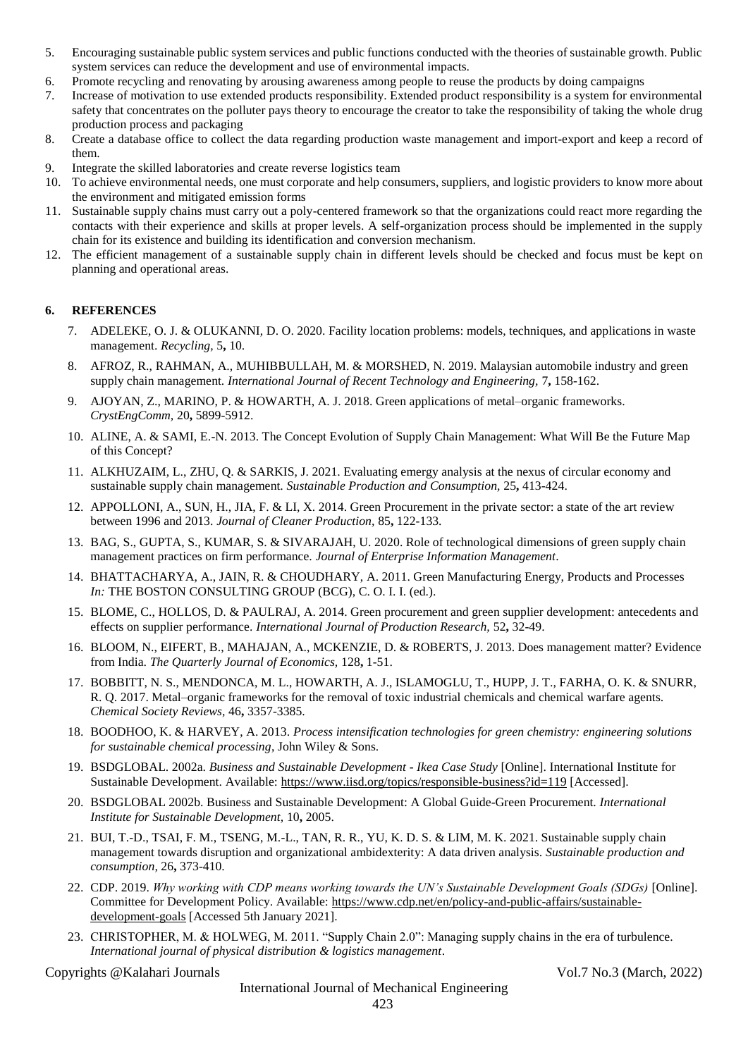- 5. Encouraging sustainable public system services and public functions conducted with the theories of sustainable growth. Public system services can reduce the development and use of environmental impacts.
- 6. Promote recycling and renovating by arousing awareness among people to reuse the products by doing campaigns
- 7. Increase of motivation to use extended products responsibility. Extended product responsibility is a system for environmental safety that concentrates on the polluter pays theory to encourage the creator to take the responsibility of taking the whole drug production process and packaging
- 8. Create a database office to collect the data regarding production waste management and import-export and keep a record of them.
- 9. Integrate the skilled laboratories and create reverse logistics team
- 10. To achieve environmental needs, one must corporate and help consumers, suppliers, and logistic providers to know more about the environment and mitigated emission forms
- 11. Sustainable supply chains must carry out a poly-centered framework so that the organizations could react more regarding the contacts with their experience and skills at proper levels. A self-organization process should be implemented in the supply chain for its existence and building its identification and conversion mechanism.
- 12. The efficient management of a sustainable supply chain in different levels should be checked and focus must be kept on planning and operational areas.

#### **6. REFERENCES**

- 7. ADELEKE, O. J. & OLUKANNI, D. O. 2020. Facility location problems: models, techniques, and applications in waste management. *Recycling,* 5**,** 10.
- 8. AFROZ, R., RAHMAN, A., MUHIBBULLAH, M. & MORSHED, N. 2019. Malaysian automobile industry and green supply chain management. *International Journal of Recent Technology and Engineering,* 7**,** 158-162.
- 9. AJOYAN, Z., MARINO, P. & HOWARTH, A. J. 2018. Green applications of metal–organic frameworks. *CrystEngComm,* 20**,** 5899-5912.
- 10. ALINE, A. & SAMI, E.-N. 2013. The Concept Evolution of Supply Chain Management: What Will Be the Future Map of this Concept?
- 11. ALKHUZAIM, L., ZHU, Q. & SARKIS, J. 2021. Evaluating emergy analysis at the nexus of circular economy and sustainable supply chain management. *Sustainable Production and Consumption,* 25**,** 413-424.
- 12. APPOLLONI, A., SUN, H., JIA, F. & LI, X. 2014. Green Procurement in the private sector: a state of the art review between 1996 and 2013. *Journal of Cleaner Production,* 85**,** 122-133.
- 13. BAG, S., GUPTA, S., KUMAR, S. & SIVARAJAH, U. 2020. Role of technological dimensions of green supply chain management practices on firm performance. *Journal of Enterprise Information Management*.
- 14. BHATTACHARYA, A., JAIN, R. & CHOUDHARY, A. 2011. Green Manufacturing Energy, Products and Processes *In:* THE BOSTON CONSULTING GROUP (BCG), C. O. I. I. (ed.).
- 15. BLOME, C., HOLLOS, D. & PAULRAJ, A. 2014. Green procurement and green supplier development: antecedents and effects on supplier performance. *International Journal of Production Research,* 52**,** 32-49.
- 16. BLOOM, N., EIFERT, B., MAHAJAN, A., MCKENZIE, D. & ROBERTS, J. 2013. Does management matter? Evidence from India. *The Quarterly Journal of Economics,* 128**,** 1-51.
- 17. BOBBITT, N. S., MENDONCA, M. L., HOWARTH, A. J., ISLAMOGLU, T., HUPP, J. T., FARHA, O. K. & SNURR, R. Q. 2017. Metal–organic frameworks for the removal of toxic industrial chemicals and chemical warfare agents. *Chemical Society Reviews,* 46**,** 3357-3385.
- 18. BOODHOO, K. & HARVEY, A. 2013. *Process intensification technologies for green chemistry: engineering solutions for sustainable chemical processing*, John Wiley & Sons.
- 19. BSDGLOBAL. 2002a. *Business and Sustainable Development - Ikea Case Study* [Online]. International Institute for Sustainable Development. Available[: https://www.iisd.org/topics/responsible-business?id=119](https://www.iisd.org/topics/responsible-business?id=119) [Accessed].
- 20. BSDGLOBAL 2002b. Business and Sustainable Development: A Global Guide-Green Procurement. *International Institute for Sustainable Development,* 10**,** 2005.
- 21. BUI, T.-D., TSAI, F. M., TSENG, M.-L., TAN, R. R., YU, K. D. S. & LIM, M. K. 2021. Sustainable supply chain management towards disruption and organizational ambidexterity: A data driven analysis. *Sustainable production and consumption,* 26**,** 373-410.
- 22. CDP. 2019. *Why working with CDP means working towards the UN's Sustainable Development Goals (SDGs)* [Online]. Committee for Development Policy. Available: [https://www.cdp.net/en/policy-and-public-affairs/sustainable](https://www.cdp.net/en/policy-and-public-affairs/sustainable-development-goals)[development-goals](https://www.cdp.net/en/policy-and-public-affairs/sustainable-development-goals) [Accessed 5th January 2021].
- 23. CHRISTOPHER, M. & HOLWEG, M. 2011. "Supply Chain 2.0": Managing supply chains in the era of turbulence. *International journal of physical distribution & logistics management*.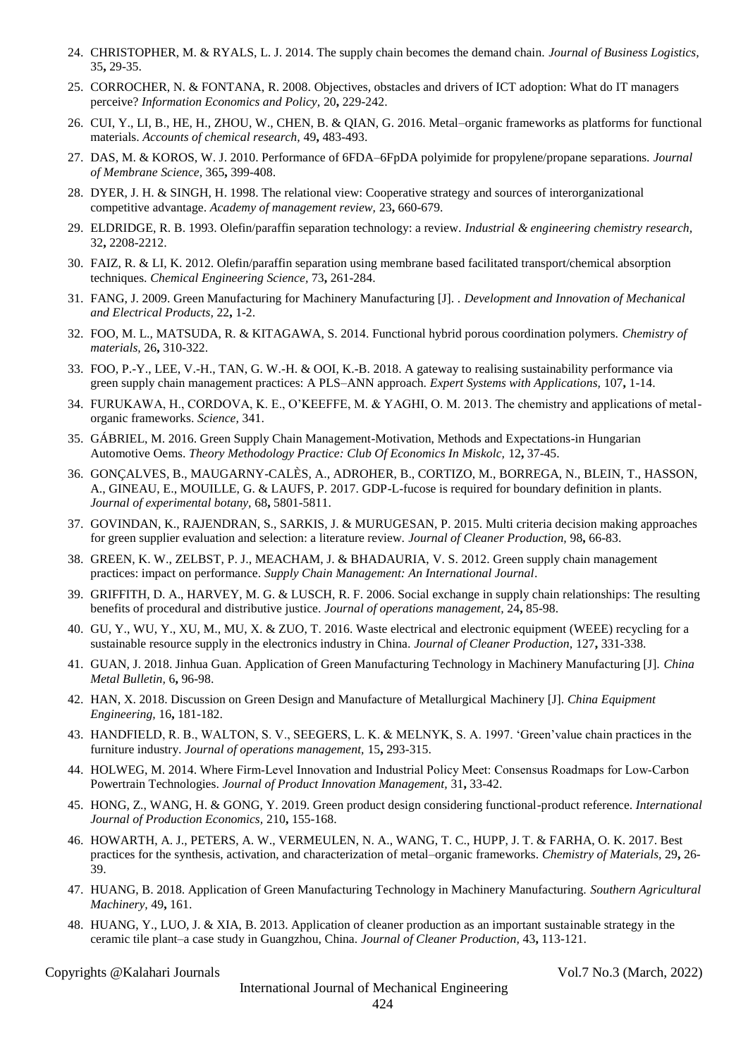- 24. CHRISTOPHER, M. & RYALS, L. J. 2014. The supply chain becomes the demand chain. *Journal of Business Logistics,* 35**,** 29-35.
- 25. CORROCHER, N. & FONTANA, R. 2008. Objectives, obstacles and drivers of ICT adoption: What do IT managers perceive? *Information Economics and Policy,* 20**,** 229-242.
- 26. CUI, Y., LI, B., HE, H., ZHOU, W., CHEN, B. & QIAN, G. 2016. Metal–organic frameworks as platforms for functional materials. *Accounts of chemical research,* 49**,** 483-493.
- 27. DAS, M. & KOROS, W. J. 2010. Performance of 6FDA–6FpDA polyimide for propylene/propane separations. *Journal of Membrane Science,* 365**,** 399-408.
- 28. DYER, J. H. & SINGH, H. 1998. The relational view: Cooperative strategy and sources of interorganizational competitive advantage. *Academy of management review,* 23**,** 660-679.
- 29. ELDRIDGE, R. B. 1993. Olefin/paraffin separation technology: a review. *Industrial & engineering chemistry research,* 32**,** 2208-2212.
- 30. FAIZ, R. & LI, K. 2012. Olefin/paraffin separation using membrane based facilitated transport/chemical absorption techniques. *Chemical Engineering Science,* 73**,** 261-284.
- 31. FANG, J. 2009. Green Manufacturing for Machinery Manufacturing [J]. . *Development and Innovation of Mechanical and Electrical Products,* 22**,** 1-2.
- 32. FOO, M. L., MATSUDA, R. & KITAGAWA, S. 2014. Functional hybrid porous coordination polymers. *Chemistry of materials,* 26**,** 310-322.
- 33. FOO, P.-Y., LEE, V.-H., TAN, G. W.-H. & OOI, K.-B. 2018. A gateway to realising sustainability performance via green supply chain management practices: A PLS–ANN approach. *Expert Systems with Applications,* 107**,** 1-14.
- 34. FURUKAWA, H., CORDOVA, K. E., O'KEEFFE, M. & YAGHI, O. M. 2013. The chemistry and applications of metalorganic frameworks. *Science,* 341.
- 35. GÁBRIEL, M. 2016. Green Supply Chain Management-Motivation, Methods and Expectations-in Hungarian Automotive Oems. *Theory Methodology Practice: Club Of Economics In Miskolc,* 12**,** 37-45.
- 36. GONÇALVES, B., MAUGARNY-CALÈS, A., ADROHER, B., CORTIZO, M., BORREGA, N., BLEIN, T., HASSON, A., GINEAU, E., MOUILLE, G. & LAUFS, P. 2017. GDP-L-fucose is required for boundary definition in plants. *Journal of experimental botany,* 68**,** 5801-5811.
- 37. GOVINDAN, K., RAJENDRAN, S., SARKIS, J. & MURUGESAN, P. 2015. Multi criteria decision making approaches for green supplier evaluation and selection: a literature review. *Journal of Cleaner Production,* 98**,** 66-83.
- 38. GREEN, K. W., ZELBST, P. J., MEACHAM, J. & BHADAURIA, V. S. 2012. Green supply chain management practices: impact on performance. *Supply Chain Management: An International Journal*.
- 39. GRIFFITH, D. A., HARVEY, M. G. & LUSCH, R. F. 2006. Social exchange in supply chain relationships: The resulting benefits of procedural and distributive justice. *Journal of operations management,* 24**,** 85-98.
- 40. GU, Y., WU, Y., XU, M., MU, X. & ZUO, T. 2016. Waste electrical and electronic equipment (WEEE) recycling for a sustainable resource supply in the electronics industry in China. *Journal of Cleaner Production,* 127**,** 331-338.
- 41. GUAN, J. 2018. Jinhua Guan. Application of Green Manufacturing Technology in Machinery Manufacturing [J]. *China Metal Bulletin,* 6**,** 96-98.
- 42. HAN, X. 2018. Discussion on Green Design and Manufacture of Metallurgical Machinery [J]. *China Equipment Engineering,* 16**,** 181-182.
- 43. HANDFIELD, R. B., WALTON, S. V., SEEGERS, L. K. & MELNYK, S. A. 1997. 'Green'value chain practices in the furniture industry. *Journal of operations management,* 15**,** 293-315.
- 44. HOLWEG, M. 2014. Where Firm‐Level Innovation and Industrial Policy Meet: Consensus Roadmaps for Low‐Carbon Powertrain Technologies. *Journal of Product Innovation Management,* 31**,** 33-42.
- 45. HONG, Z., WANG, H. & GONG, Y. 2019. Green product design considering functional-product reference. *International Journal of Production Economics,* 210**,** 155-168.
- 46. HOWARTH, A. J., PETERS, A. W., VERMEULEN, N. A., WANG, T. C., HUPP, J. T. & FARHA, O. K. 2017. Best practices for the synthesis, activation, and characterization of metal–organic frameworks. *Chemistry of Materials,* 29**,** 26- 39.
- 47. HUANG, B. 2018. Application of Green Manufacturing Technology in Machinery Manufacturing. *Southern Agricultural Machinery,* 49**,** 161.
- 48. HUANG, Y., LUO, J. & XIA, B. 2013. Application of cleaner production as an important sustainable strategy in the ceramic tile plant–a case study in Guangzhou, China. *Journal of Cleaner Production,* 43**,** 113-121.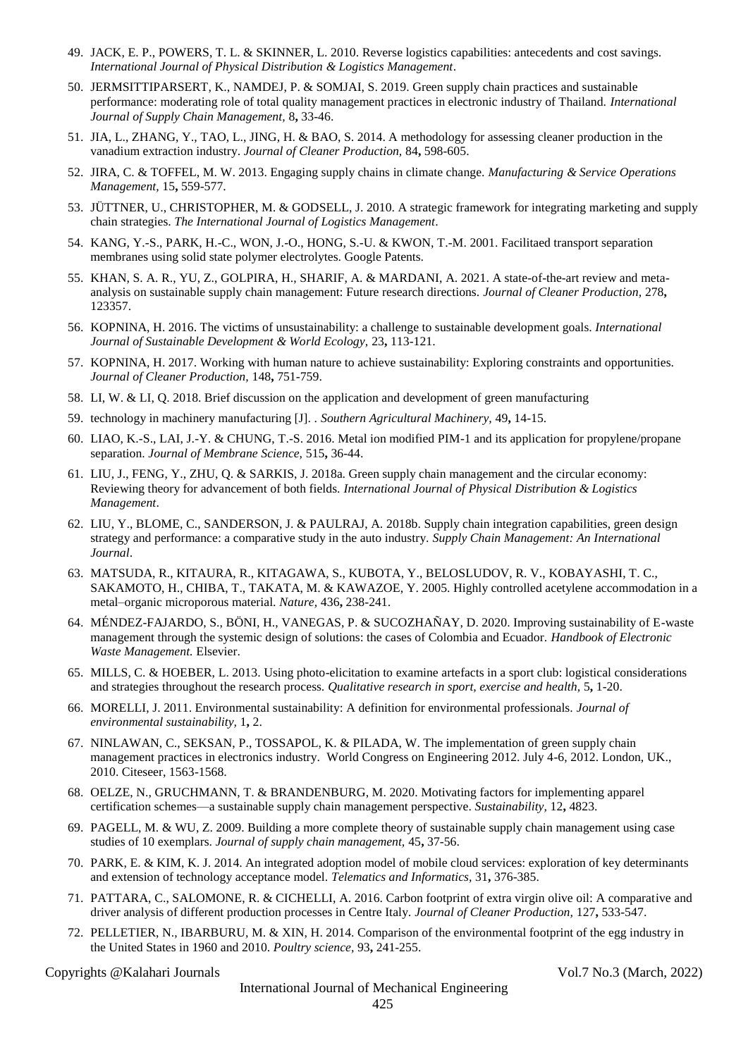- 49. JACK, E. P., POWERS, T. L. & SKINNER, L. 2010. Reverse logistics capabilities: antecedents and cost savings. *International Journal of Physical Distribution & Logistics Management*.
- 50. JERMSITTIPARSERT, K., NAMDEJ, P. & SOMJAI, S. 2019. Green supply chain practices and sustainable performance: moderating role of total quality management practices in electronic industry of Thailand. *International Journal of Supply Chain Management,* 8**,** 33-46.
- 51. JIA, L., ZHANG, Y., TAO, L., JING, H. & BAO, S. 2014. A methodology for assessing cleaner production in the vanadium extraction industry. *Journal of Cleaner Production,* 84**,** 598-605.
- 52. JIRA, C. & TOFFEL, M. W. 2013. Engaging supply chains in climate change. *Manufacturing & Service Operations Management,* 15**,** 559-577.
- 53. JÜTTNER, U., CHRISTOPHER, M. & GODSELL, J. 2010. A strategic framework for integrating marketing and supply chain strategies. *The International Journal of Logistics Management*.
- 54. KANG, Y.-S., PARK, H.-C., WON, J.-O., HONG, S.-U. & KWON, T.-M. 2001. Facilitaed transport separation membranes using solid state polymer electrolytes. Google Patents.
- 55. KHAN, S. A. R., YU, Z., GOLPIRA, H., SHARIF, A. & MARDANI, A. 2021. A state-of-the-art review and metaanalysis on sustainable supply chain management: Future research directions. *Journal of Cleaner Production,* 278**,** 123357.
- 56. KOPNINA, H. 2016. The victims of unsustainability: a challenge to sustainable development goals. *International Journal of Sustainable Development & World Ecology,* 23**,** 113-121.
- 57. KOPNINA, H. 2017. Working with human nature to achieve sustainability: Exploring constraints and opportunities. *Journal of Cleaner Production,* 148**,** 751-759.
- 58. LI, W. & LI, Q. 2018. Brief discussion on the application and development of green manufacturing
- 59. technology in machinery manufacturing [J]. . *Southern Agricultural Machinery,* 49**,** 14-15.
- 60. LIAO, K.-S., LAI, J.-Y. & CHUNG, T.-S. 2016. Metal ion modified PIM-1 and its application for propylene/propane separation. *Journal of Membrane Science,* 515**,** 36-44.
- 61. LIU, J., FENG, Y., ZHU, Q. & SARKIS, J. 2018a. Green supply chain management and the circular economy: Reviewing theory for advancement of both fields. *International Journal of Physical Distribution & Logistics Management*.
- 62. LIU, Y., BLOME, C., SANDERSON, J. & PAULRAJ, A. 2018b. Supply chain integration capabilities, green design strategy and performance: a comparative study in the auto industry. *Supply Chain Management: An International Journal*.
- 63. MATSUDA, R., KITAURA, R., KITAGAWA, S., KUBOTA, Y., BELOSLUDOV, R. V., KOBAYASHI, T. C., SAKAMOTO, H., CHIBA, T., TAKATA, M. & KAWAZOE, Y. 2005. Highly controlled acetylene accommodation in a metal–organic microporous material. *Nature,* 436**,** 238-241.
- 64. MÉNDEZ-FAJARDO, S., BÖNI, H., VANEGAS, P. & SUCOZHAÑAY, D. 2020. Improving sustainability of E-waste management through the systemic design of solutions: the cases of Colombia and Ecuador. *Handbook of Electronic Waste Management.* Elsevier.
- 65. MILLS, C. & HOEBER, L. 2013. Using photo-elicitation to examine artefacts in a sport club: logistical considerations and strategies throughout the research process. *Qualitative research in sport, exercise and health,* 5**,** 1-20.
- 66. MORELLI, J. 2011. Environmental sustainability: A definition for environmental professionals. *Journal of environmental sustainability,* 1**,** 2.
- 67. NINLAWAN, C., SEKSAN, P., TOSSAPOL, K. & PILADA, W. The implementation of green supply chain management practices in electronics industry. World Congress on Engineering 2012. July 4-6, 2012. London, UK., 2010. Citeseer, 1563-1568.
- 68. OELZE, N., GRUCHMANN, T. & BRANDENBURG, M. 2020. Motivating factors for implementing apparel certification schemes—a sustainable supply chain management perspective. *Sustainability,* 12**,** 4823.
- 69. PAGELL, M. & WU, Z. 2009. Building a more complete theory of sustainable supply chain management using case studies of 10 exemplars. *Journal of supply chain management,* 45**,** 37-56.
- 70. PARK, E. & KIM, K. J. 2014. An integrated adoption model of mobile cloud services: exploration of key determinants and extension of technology acceptance model. *Telematics and Informatics,* 31**,** 376-385.
- 71. PATTARA, C., SALOMONE, R. & CICHELLI, A. 2016. Carbon footprint of extra virgin olive oil: A comparative and driver analysis of different production processes in Centre Italy. *Journal of Cleaner Production,* 127**,** 533-547.
- 72. PELLETIER, N., IBARBURU, M. & XIN, H. 2014. Comparison of the environmental footprint of the egg industry in the United States in 1960 and 2010. *Poultry science,* 93**,** 241-255.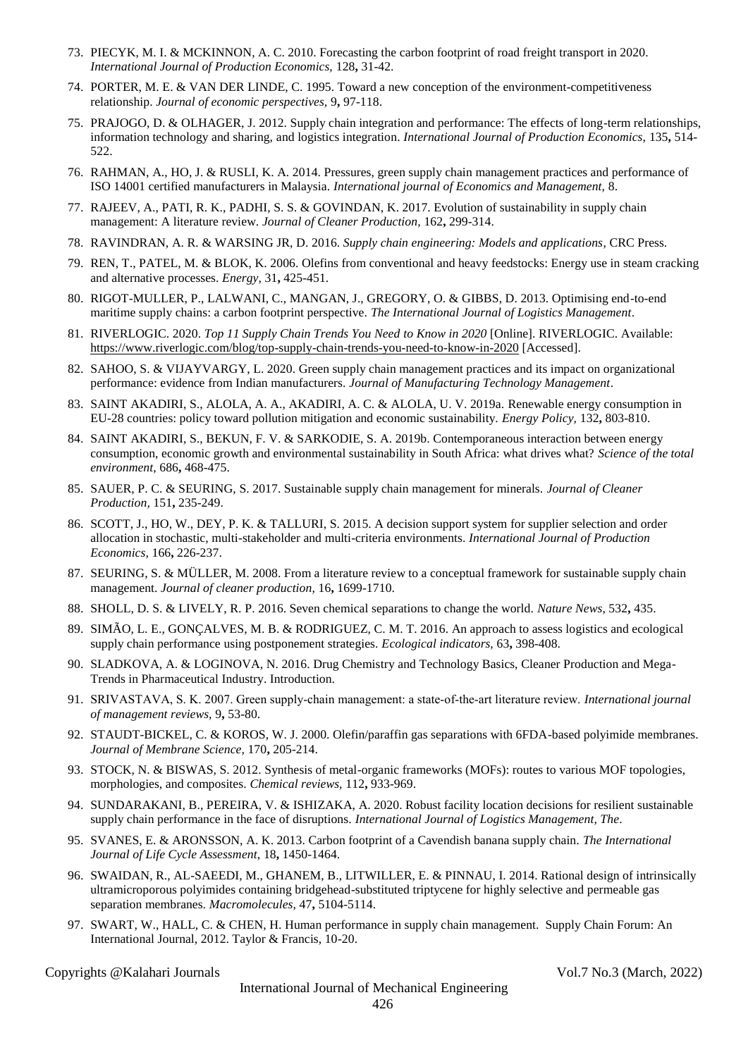- 73. PIECYK, M. I. & MCKINNON, A. C. 2010. Forecasting the carbon footprint of road freight transport in 2020. *International Journal of Production Economics,* 128**,** 31-42.
- 74. PORTER, M. E. & VAN DER LINDE, C. 1995. Toward a new conception of the environment-competitiveness relationship. *Journal of economic perspectives,* 9**,** 97-118.
- 75. PRAJOGO, D. & OLHAGER, J. 2012. Supply chain integration and performance: The effects of long-term relationships, information technology and sharing, and logistics integration. *International Journal of Production Economics,* 135**,** 514- 522.
- 76. RAHMAN, A., HO, J. & RUSLI, K. A. 2014. Pressures, green supply chain management practices and performance of ISO 14001 certified manufacturers in Malaysia. *International journal of Economics and Management,* 8.
- 77. RAJEEV, A., PATI, R. K., PADHI, S. S. & GOVINDAN, K. 2017. Evolution of sustainability in supply chain management: A literature review. *Journal of Cleaner Production,* 162**,** 299-314.
- 78. RAVINDRAN, A. R. & WARSING JR, D. 2016. *Supply chain engineering: Models and applications*, CRC Press.
- 79. REN, T., PATEL, M. & BLOK, K. 2006. Olefins from conventional and heavy feedstocks: Energy use in steam cracking and alternative processes. *Energy,* 31**,** 425-451.
- 80. RIGOT-MULLER, P., LALWANI, C., MANGAN, J., GREGORY, O. & GIBBS, D. 2013. Optimising end-to-end maritime supply chains: a carbon footprint perspective. *The International Journal of Logistics Management*.
- 81. RIVERLOGIC. 2020. *Top 11 Supply Chain Trends You Need to Know in 2020* [Online]. RIVERLOGIC. Available: <https://www.riverlogic.com/blog/top-supply-chain-trends-you-need-to-know-in-2020> [Accessed].
- 82. SAHOO, S. & VIJAYVARGY, L. 2020. Green supply chain management practices and its impact on organizational performance: evidence from Indian manufacturers. *Journal of Manufacturing Technology Management*.
- 83. SAINT AKADIRI, S., ALOLA, A. A., AKADIRI, A. C. & ALOLA, U. V. 2019a. Renewable energy consumption in EU-28 countries: policy toward pollution mitigation and economic sustainability. *Energy Policy,* 132**,** 803-810.
- 84. SAINT AKADIRI, S., BEKUN, F. V. & SARKODIE, S. A. 2019b. Contemporaneous interaction between energy consumption, economic growth and environmental sustainability in South Africa: what drives what? *Science of the total environment,* 686**,** 468-475.
- 85. SAUER, P. C. & SEURING, S. 2017. Sustainable supply chain management for minerals. *Journal of Cleaner Production,* 151**,** 235-249.
- 86. SCOTT, J., HO, W., DEY, P. K. & TALLURI, S. 2015. A decision support system for supplier selection and order allocation in stochastic, multi-stakeholder and multi-criteria environments. *International Journal of Production Economics,* 166**,** 226-237.
- 87. SEURING, S. & MÜLLER, M. 2008. From a literature review to a conceptual framework for sustainable supply chain management. *Journal of cleaner production,* 16**,** 1699-1710.
- 88. SHOLL, D. S. & LIVELY, R. P. 2016. Seven chemical separations to change the world. *Nature News,* 532**,** 435.
- 89. SIMÃO, L. E., GONÇALVES, M. B. & RODRIGUEZ, C. M. T. 2016. An approach to assess logistics and ecological supply chain performance using postponement strategies. *Ecological indicators,* 63**,** 398-408.
- 90. SLADKOVA, A. & LOGINOVA, N. 2016. Drug Chemistry and Technology Basics, Cleaner Production and Mega-Trends in Pharmaceutical Industry. Introduction.
- 91. SRIVASTAVA, S. K. 2007. Green supply‐chain management: a state‐of‐the‐art literature review. *International journal of management reviews,* 9**,** 53-80.
- 92. STAUDT-BICKEL, C. & KOROS, W. J. 2000. Olefin/paraffin gas separations with 6FDA-based polyimide membranes. *Journal of Membrane Science,* 170**,** 205-214.
- 93. STOCK, N. & BISWAS, S. 2012. Synthesis of metal-organic frameworks (MOFs): routes to various MOF topologies, morphologies, and composites. *Chemical reviews,* 112**,** 933-969.
- 94. SUNDARAKANI, B., PEREIRA, V. & ISHIZAKA, A. 2020. Robust facility location decisions for resilient sustainable supply chain performance in the face of disruptions. *International Journal of Logistics Management, The*.
- 95. SVANES, E. & ARONSSON, A. K. 2013. Carbon footprint of a Cavendish banana supply chain. *The International Journal of Life Cycle Assessment,* 18**,** 1450-1464.
- 96. SWAIDAN, R., AL-SAEEDI, M., GHANEM, B., LITWILLER, E. & PINNAU, I. 2014. Rational design of intrinsically ultramicroporous polyimides containing bridgehead-substituted triptycene for highly selective and permeable gas separation membranes. *Macromolecules,* 47**,** 5104-5114.
- 97. SWART, W., HALL, C. & CHEN, H. Human performance in supply chain management. Supply Chain Forum: An International Journal, 2012. Taylor & Francis, 10-20.